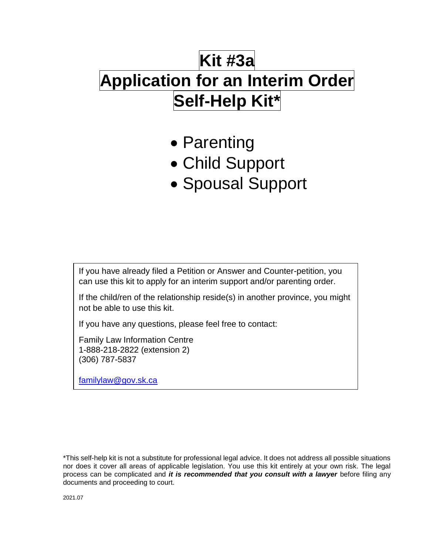# **Kit #3a Application for an Interim Order Self-Help Kit\***

- Parenting
- Child Support
- Spousal Support

If you have already filed a Petition or Answer and Counter-petition, you can use this kit to apply for an interim support and/or parenting order.

If the child/ren of the relationship reside(s) in another province, you might not be able to use this kit.

If you have any questions, please feel free to contact:

Family Law Information Centre 1-888-218-2822 (extension 2) (306) 787-5837

[familylaw@gov.sk.ca](mailto:familylaw@gov.sk.ca)

\*This self-help kit is not a substitute for professional legal advice. It does not address all possible situations nor does it cover all areas of applicable legislation. You use this kit entirely at your own risk. The legal process can be complicated and *it is recommended that you consult with a lawyer* before filing any documents and proceeding to court.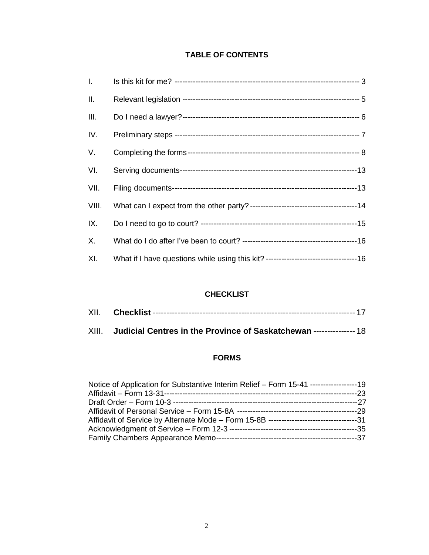# **TABLE OF CONTENTS**

| $\mathbf{L}$ |  |
|--------------|--|
| Ш.           |  |
| III.         |  |
| IV.          |  |
| V.           |  |
| VI.          |  |
| VII.         |  |
| VIII.        |  |
| IX.          |  |
| X.           |  |
| XI.          |  |

## **CHECKLIST**

| XIII. Judicial Centres in the Province of Saskatchewan --------------- 18 |
|---------------------------------------------------------------------------|

# **FORMS**

| Notice of Application for Substantive Interim Relief – Form 15-41 ------------------19 |  |
|----------------------------------------------------------------------------------------|--|
|                                                                                        |  |
|                                                                                        |  |
|                                                                                        |  |
|                                                                                        |  |
|                                                                                        |  |
|                                                                                        |  |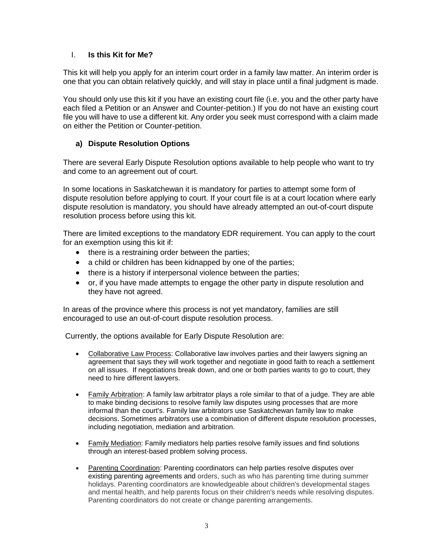## I. **Is this Kit for Me?**

This kit will help you apply for an interim court order in a family law matter. An interim order is one that you can obtain relatively quickly, and will stay in place until a final judgment is made.

You should only use this kit if you have an existing court file (i.e. you and the other party have each filed a Petition or an Answer and Counter-petition.) If you do not have an existing court file you will have to use a different kit. Any order you seek must correspond with a claim made on either the Petition or Counter-petition.

## **a) Dispute Resolution Options**

There are several Early Dispute Resolution options available to help people who want to try and come to an agreement out of court.

In some locations in Saskatchewan it is mandatory for parties to attempt some form of dispute resolution before applying to court. If your court file is at a court location where early dispute resolution is mandatory, you should have already attempted an out-of-court dispute resolution process before using this kit.

There are limited exceptions to the mandatory EDR requirement. You can apply to the court for an exemption using this kit if:

- there is a restraining order between the parties;
- a child or children has been kidnapped by one of the parties;
- there is a history if interpersonal violence between the parties;
- or, if you have made attempts to engage the other party in dispute resolution and they have not agreed.

In areas of the province where this process is not yet mandatory, families are still encouraged to use an out-of-court dispute resolution process.

Currently, the options available for Early Dispute Resolution are:

- [Collaborative Law Process:](https://collabsask.com/) Collaborative law involves parties and their lawyers signing an agreement that says they will work together and negotiate in good faith to reach a settlement on all issues. If negotiations break down, and one or both parties wants to go to court, they need to hire different lawyers.
- [Family Arbitration:](https://www.saskatchewan.ca/residents/births-deaths-marriages-and-divorces/separation-or-divorce/early-family-dispute-resolution/family-arbitration) A family law arbitrator plays a role similar to that of a judge. They are able to make binding decisions to resolve family law disputes using processes that are more informal than the court's. Family law arbitrators use Saskatchewan family law to make decisions. Sometimes arbitrators use a combination of different dispute resolution processes, including negotiation, mediation and arbitration.
- [Family Mediation:](https://www.saskatchewan.ca/residents/births-deaths-marriages-and-divorces/separation-or-divorce/early-family-dispute-resolution/family-mediation) Family mediators help parties resolve family issues and find solutions through an interest-based problem solving process.
- [Parenting Coordination:](https://www.saskatchewan.ca/residents/births-deaths-marriages-and-divorces/separation-or-divorce/early-family-dispute-resolution/parenting-coordination) Parenting coordinators can help parties resolve disputes over existing parenting agreements and orders, such as who has parenting time during summer holidays. Parenting coordinators are knowledgeable about children's developmental stages and mental health, and help parents focus on their children's needs while resolving disputes. Parenting coordinators do not create or change parenting arrangements.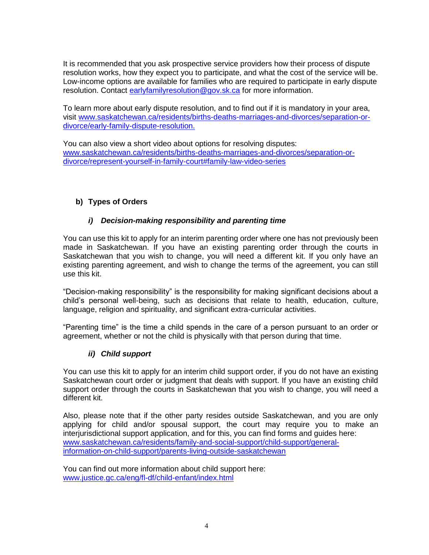It is recommended that you ask prospective service providers how their process of dispute resolution works, how they expect you to participate, and what the cost of the service will be. Low-income options are available for families who are required to participate in early dispute resolution. Contact [earlyfamilyresolution@gov.sk.ca](mailto:earlyfamilyresolution@gov.sk.ca) for more information.

To learn more about early dispute resolution, and to find out if it is mandatory in your area, visit [www.saskatchewan.ca/residents/births-deaths-marriages-and-divorces/separation-or](https://www.saskatchewan.ca/residents/births-deaths-marriages-and-divorces/separation-or-divorce/early-family-dispute-resolution)[divorce/early-family-dispute-resolution.](https://www.saskatchewan.ca/residents/births-deaths-marriages-and-divorces/separation-or-divorce/early-family-dispute-resolution)

You can also view a short video about options for resolving disputes: www.saskatchewan.ca/residents/births-deaths-marriages-and-divorces/separation-ordivorce/represent-yourself-in-family-court#family-law-video-series

## **b) Types of Orders**

#### *i) Decision-making responsibility and parenting time*

You can use this kit to apply for an interim parenting order where one has not previously been made in Saskatchewan. If you have an existing parenting order through the courts in Saskatchewan that you wish to change, you will need a different kit. If you only have an existing parenting agreement, and wish to change the terms of the agreement, you can still use this kit.

"Decision-making responsibility" is the responsibility for making significant decisions about a child's personal well-being, such as decisions that relate to health, education, culture, language, religion and spirituality, and significant extra-curricular activities.

"Parenting time" is the time a child spends in the care of a person pursuant to an order or agreement, whether or not the child is physically with that person during that time.

#### *ii) Child support*

You can use this kit to apply for an interim child support order, if you do not have an existing Saskatchewan court order or judgment that deals with support. If you have an existing child support order through the courts in Saskatchewan that you wish to change, you will need a different kit.

Also, please note that if the other party resides outside Saskatchewan, and you are only applying for child and/or spousal support, the court may require you to make an interjurisdictional support application, and for this, you can find forms and guides here: [www.saskatchewan.ca/residents/family-and-social-support/child-support/general](https://www.saskatchewan.ca/residents/family-and-social-support/child-support/general-information-on-child-support/parents-living-outside-saskatchewan)[information-on-child-support/parents-living-outside-saskatchewan](https://www.saskatchewan.ca/residents/family-and-social-support/child-support/general-information-on-child-support/parents-living-outside-saskatchewan)

You can find out more information about child support here: [www.justice.gc.ca/eng/fl-df/child-enfant/index.html](http://www.justice.gc.ca/eng/fl-df/child-enfant/index.html)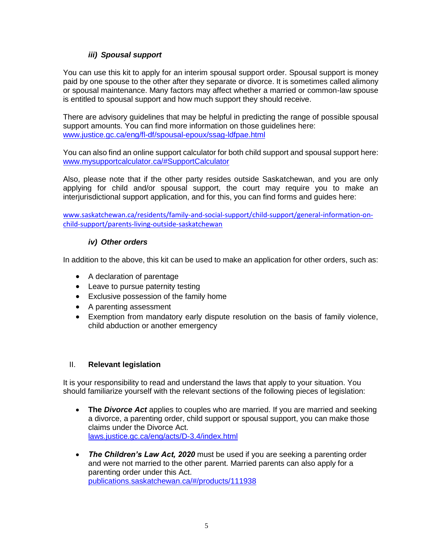## *iii) Spousal support*

You can use this kit to apply for an interim spousal support order. Spousal support is money paid by one spouse to the other after they separate or divorce. It is sometimes called alimony or spousal maintenance. Many factors may affect whether a married or common-law spouse is entitled to spousal support and how much support they should receive.

There are advisory guidelines that may be helpful in predicting the range of possible spousal support amounts. You can find more information on those guidelines here: [www.justice.gc.ca/eng/fl-df/spousal-epoux/ssag-ldfpae.html](http://www.justice.gc.ca/eng/fl-df/spousal-epoux/ssag-ldfpae.html)

You can also find an online support calculator for both child support and spousal support here: [www.mysupportcalculator.ca/#SupportCalculator](http://www.mysupportcalculator.ca/#SupportCalculator)

Also, please note that if the other party resides outside Saskatchewan, and you are only applying for child and/or spousal support, the court may require you to make an interjurisdictional support application, and for this, you can find forms and guides here:

[www.saskatchewan.ca/residents/family-and-social-support/child-support/general](file://///nyx-nasfil01p.gos.ca/JUSGroup/CCJ/FJS/FP/New%20Drafts%20of%20Self-Help%20Kits/www.saskatchewan.ca/residents/family-and-social-support/child-support/general-information-on-child-support/parents-living-outside-saskatchewan)-information-on[child-support/parents-living-outside-saskatchewan](file://///nyx-nasfil01p.gos.ca/JUSGroup/CCJ/FJS/FP/New%20Drafts%20of%20Self-Help%20Kits/www.saskatchewan.ca/residents/family-and-social-support/child-support/general-information-on-child-support/parents-living-outside-saskatchewan)

#### *iv) Other orders*

In addition to the above, this kit can be used to make an application for other orders, such as:

- A declaration of parentage
- Leave to pursue paternity testing
- Exclusive possession of the family home
- A parenting assessment
- Exemption from mandatory early dispute resolution on the basis of family violence, child abduction or another emergency

#### II. **Relevant legislation**

It is your responsibility to read and understand the laws that apply to your situation. You should familiarize yourself with the relevant sections of the following pieces of legislation:

- The *Divorce Act* applies to couples who are married. If you are married and seeking a divorce, a parenting order, child support or spousal support, you can make those claims under the Divorce Act. [laws.justice.gc.ca/eng/acts/D-3.4/index.html](http://laws.justice.gc.ca/eng/acts/D-3.4/index.html)
- *The Children's Law Act, 2020* must be used if you are seeking a parenting order and were not married to the other parent. Married parents can also apply for a parenting order under this Act. [publications.saskatchewan.ca/#/products/111938](https://publications.saskatchewan.ca/#/products/111938)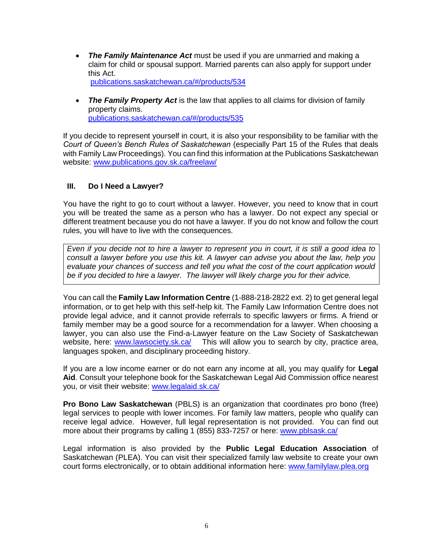*The Family Maintenance Act* must be used if you are unmarried and making a claim for child or spousal support. Married parents can also apply for support under this Act.

[publications.saskatchewan.ca/#/products/534](https://publications.saskatchewan.ca/#/products/534)

 *The Family Property Act* is the law that applies to all claims for division of family property claims. [publications.saskatchewan.ca/#/products/535](https://publications.saskatchewan.ca/#/products/535)

If you decide to represent yourself in court, it is also your responsibility to be familiar with the *Court of Queen's Bench Rules of Saskatchewan* (especially Part 15 of the Rules that deals with Family Law Proceedings). You can find this information at the Publications Saskatchewan website: [www.publications.gov.sk.ca/freelaw/](http://www.publications.gov.sk.ca/freelaw/)

## **III. Do I Need a Lawyer?**

You have the right to go to court without a lawyer. However, you need to know that in court you will be treated the same as a person who has a lawyer. Do not expect any special or different treatment because you do not have a lawyer. If you do not know and follow the court rules, you will have to live with the consequences.

*Even if you decide not to hire a lawyer to represent you in court, it is still a good idea to consult a lawyer before you use this kit. A lawyer can advise you about the law, help you evaluate your chances of success and tell you what the cost of the court application would be if you decided to hire a lawyer. The lawyer will likely charge you for their advice.*

You can call the **Family Law Information Centre** (1-888-218-2822 ext. 2) to get general legal information, or to get help with this self-help kit. The Family Law Information Centre does not provide legal advice, and it cannot provide referrals to specific lawyers or firms. A friend or family member may be a good source for a recommendation for a lawyer. When choosing a lawyer, you can also use the Find-a-Lawyer feature on the Law Society of Saskatchewan website, here: [www.lawsociety.sk.ca/](http://www.lawsociety.sk.ca/) This will allow you to search by city, practice area, languages spoken, and disciplinary proceeding history.

If you are a low income earner or do not earn any income at all, you may qualify for **Legal Aid**. Consult your telephone book for the Saskatchewan Legal Aid Commission office nearest you, or visit their website: [www.legalaid.sk.ca/](http://www.legalaid.sk.ca/)

**Pro Bono Law Saskatchewan** (PBLS) is an organization that coordinates pro bono (free) legal services to people with lower incomes. For family law matters, people who qualify can receive legal advice. However, full legal representation is not provided. You can find out more about their programs by calling 1 (855) 833-7257 or here: [www.pblsask.ca/](http://www.pblsask.ca/)

Legal information is also provided by the **Public Legal Education Association** of Saskatchewan (PLEA). You can visit their specialized family law website to create your own court forms electronically, or to obtain additional information here: [www.familylaw.plea.org](http://www.familylaw.plea.org/)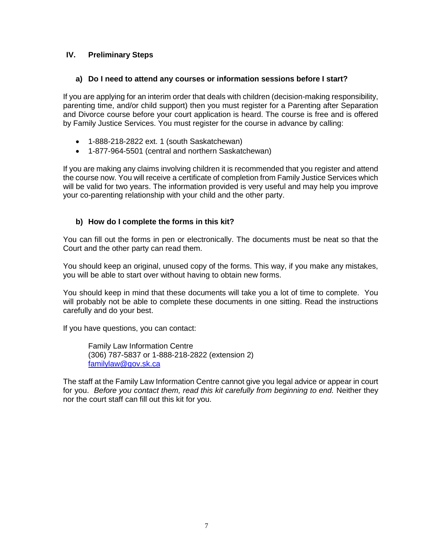## **IV. Preliminary Steps**

#### **a) Do I need to attend any courses or information sessions before I start?**

If you are applying for an interim order that deals with children (decision-making responsibility, parenting time, and/or child support) then you must register for a Parenting after Separation and Divorce course before your court application is heard. The course is free and is offered by Family Justice Services. You must register for the course in advance by calling:

- 1-888-218-2822 ext. 1 (south Saskatchewan)
- 1-877-964-5501 (central and northern Saskatchewan)

If you are making any claims involving children it is recommended that you register and attend the course now. You will receive a certificate of completion from Family Justice Services which will be valid for two years. The information provided is very useful and may help you improve your co-parenting relationship with your child and the other party.

## **b) How do I complete the forms in this kit?**

You can fill out the forms in pen or electronically. The documents must be neat so that the Court and the other party can read them.

You should keep an original, unused copy of the forms. This way, if you make any mistakes, you will be able to start over without having to obtain new forms.

You should keep in mind that these documents will take you a lot of time to complete. You will probably not be able to complete these documents in one sitting. Read the instructions carefully and do your best.

If you have questions, you can contact:

Family Law Information Centre (306) 787-5837 or 1-888-218-2822 (extension 2) [familylaw@gov.sk.ca](mailto:familylaw@gov.sk.ca)

The staff at the Family Law Information Centre cannot give you legal advice or appear in court for you. *Before you contact them, read this kit carefully from beginning to end.* Neither they nor the court staff can fill out this kit for you.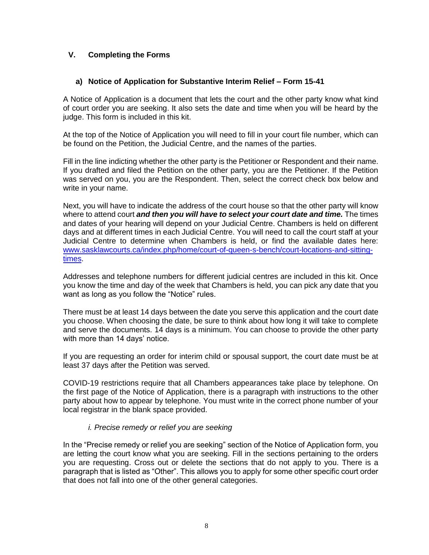## **V. Completing the Forms**

## **a) Notice of Application for Substantive Interim Relief – Form 15-41**

A Notice of Application is a document that lets the court and the other party know what kind of court order you are seeking. It also sets the date and time when you will be heard by the judge. This form is included in this kit.

At the top of the Notice of Application you will need to fill in your court file number, which can be found on the Petition, the Judicial Centre, and the names of the parties.

Fill in the line indicting whether the other party is the Petitioner or Respondent and their name. If you drafted and filed the Petition on the other party, you are the Petitioner. If the Petition was served on you, you are the Respondent. Then, select the correct check box below and write in your name.

Next, you will have to indicate the address of the court house so that the other party will know where to attend court **and then you will have to select your court date and time.** The times and dates of your hearing will depend on your Judicial Centre. Chambers is held on different days and at different times in each Judicial Centre. You will need to call the court staff at your Judicial Centre to determine when Chambers is held, or find the available dates here: [www.sasklawcourts.ca/index.php/home/court-of-queen-s-bench/court-locations-and-sitting](http://www.sasklawcourts.ca/index.php/home/court-of-queen-s-bench/court-locations-and-sitting-times)[times.](http://www.sasklawcourts.ca/index.php/home/court-of-queen-s-bench/court-locations-and-sitting-times)

Addresses and telephone numbers for different judicial centres are included in this kit. Once you know the time and day of the week that Chambers is held, you can pick any date that you want as long as you follow the "Notice" rules.

There must be at least 14 days between the date you serve this application and the court date you choose. When choosing the date, be sure to think about how long it will take to complete and serve the documents. 14 days is a minimum. You can choose to provide the other party with more than 14 days' notice.

If you are requesting an order for interim child or spousal support, the court date must be at least 37 days after the Petition was served.

COVID-19 restrictions require that all Chambers appearances take place by telephone. On the first page of the Notice of Application, there is a paragraph with instructions to the other party about how to appear by telephone. You must write in the correct phone number of your local registrar in the blank space provided.

#### *i. Precise remedy or relief you are seeking*

In the "Precise remedy or relief you are seeking" section of the Notice of Application form, you are letting the court know what you are seeking. Fill in the sections pertaining to the orders you are requesting. Cross out or delete the sections that do not apply to you. There is a paragraph that is listed as "Other". This allows you to apply for some other specific court order that does not fall into one of the other general categories.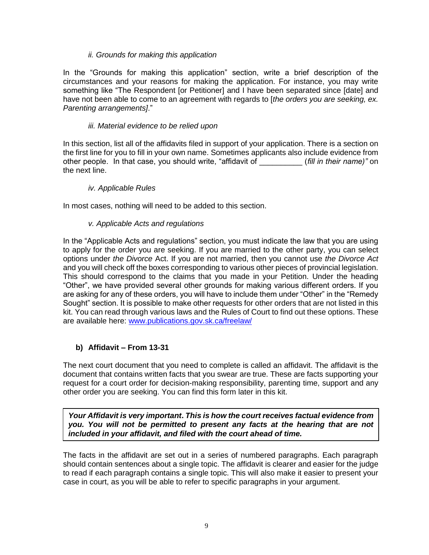#### *ii. Grounds for making this application*

In the "Grounds for making this application" section, write a brief description of the circumstances and your reasons for making the application. For instance, you may write something like "The Respondent [or Petitioner] and I have been separated since [date] and have not been able to come to an agreement with regards to [*the orders you are seeking, ex. Parenting arrangements]*."

#### *iii. Material evidence to be relied upon*

In this section, list all of the affidavits filed in support of your application. There is a section on the first line for you to fill in your own name. Sometimes applicants also include evidence from other people. In that case, you should write, "affidavit of \_\_\_\_\_\_\_\_\_\_ (*fill in their name)"* on the next line.

#### *iv. Applicable Rules*

In most cases, nothing will need to be added to this section.

#### *v. Applicable Acts and regulations*

In the "Applicable Acts and regulations" section, you must indicate the law that you are using to apply for the order you are seeking. If you are married to the other party, you can select options under *the Divorce* Act. If you are not married, then you cannot use *the Divorce Act* and you will check off the boxes corresponding to various other pieces of provincial legislation. This should correspond to the claims that you made in your Petition. Under the heading "Other", we have provided several other grounds for making various different orders. If you are asking for any of these orders, you will have to include them under "Other" in the "Remedy Sought" section. It is possible to make other requests for other orders that are not listed in this kit. You can read through various laws and the Rules of Court to find out these options. These are available here: [www.publications.gov.sk.ca/freelaw/](http://www.publications.gov.sk.ca/freelaw/)

#### **b) Affidavit – From 13-31**

The next court document that you need to complete is called an affidavit. The affidavit is the document that contains written facts that you swear are true. These are facts supporting your request for a court order for decision-making responsibility, parenting time, support and any other order you are seeking. You can find this form later in this kit.

*Your Affidavit is very important***.** *This is how the court receives factual evidence from you. You will not be permitted to present any facts at the hearing that are not included in your affidavit, and filed with the court ahead of time.*

The facts in the affidavit are set out in a series of numbered paragraphs. Each paragraph should contain sentences about a single topic. The affidavit is clearer and easier for the judge to read if each paragraph contains a single topic. This will also make it easier to present your case in court, as you will be able to refer to specific paragraphs in your argument.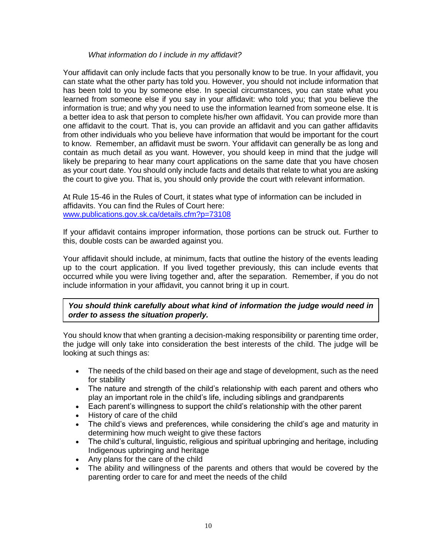#### *What information do I include in my affidavit?*

Your affidavit can only include facts that you personally know to be true. In your affidavit, you can state what the other party has told you. However, you should not include information that has been told to you by someone else. In special circumstances, you can state what you learned from someone else if you say in your affidavit: who told you; that you believe the information is true; and why you need to use the information learned from someone else. It is a better idea to ask that person to complete his/her own affidavit. You can provide more than one affidavit to the court. That is, you can provide an affidavit and you can gather affidavits from other individuals who you believe have information that would be important for the court to know. Remember, an affidavit must be sworn. Your affidavit can generally be as long and contain as much detail as you want. However, you should keep in mind that the judge will likely be preparing to hear many court applications on the same date that you have chosen as your court date. You should only include facts and details that relate to what you are asking the court to give you. That is, you should only provide the court with relevant information.

At Rule 15-46 in the Rules of Court, it states what type of information can be included in affidavits. You can find the Rules of Court here: [www.publications.gov.sk.ca/details.cfm?p=73108](http://www.publications.gov.sk.ca/details.cfm?p=73108) 

If your affidavit contains improper information, those portions can be struck out. Further to this, double costs can be awarded against you.

Your affidavit should include, at minimum, facts that outline the history of the events leading up to the court application. If you lived together previously, this can include events that occurred while you were living together and, after the separation. Remember, if you do not include information in your affidavit, you cannot bring it up in court.

*You should think carefully about what kind of information the judge would need in order to assess the situation properly.*

You should know that when granting a decision-making responsibility or parenting time order, the judge will only take into consideration the best interests of the child. The judge will be looking at such things as:

- The needs of the child based on their age and stage of development, such as the need for stability
- The nature and strength of the child's relationship with each parent and others who play an important role in the child's life, including siblings and grandparents
- Each parent's willingness to support the child's relationship with the other parent
- History of care of the child
- The child's views and preferences, while considering the child's age and maturity in determining how much weight to give these factors
- The child's cultural, linguistic, religious and spiritual upbringing and heritage, including Indigenous upbringing and heritage
- Any plans for the care of the child
- The ability and willingness of the parents and others that would be covered by the parenting order to care for and meet the needs of the child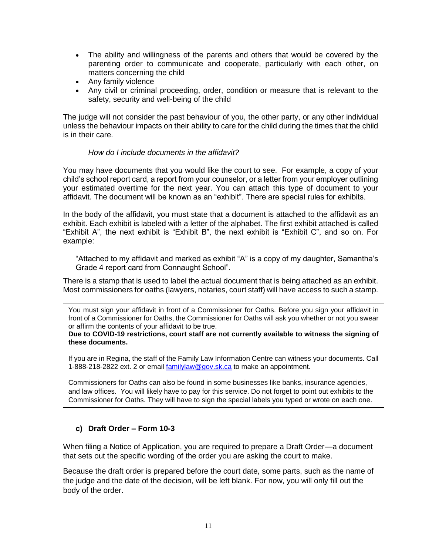- The ability and willingness of the parents and others that would be covered by the parenting order to communicate and cooperate, particularly with each other, on matters concerning the child
- Any family violence
- Any civil or criminal proceeding, order, condition or measure that is relevant to the safety, security and well-being of the child

The judge will not consider the past behaviour of you, the other party, or any other individual unless the behaviour impacts on their ability to care for the child during the times that the child is in their care.

#### *How do I include documents in the affidavit?*

You may have documents that you would like the court to see. For example, a copy of your child's school report card, a report from your counselor, or a letter from your employer outlining your estimated overtime for the next year. You can attach this type of document to your affidavit. The document will be known as an "exhibit". There are special rules for exhibits.

In the body of the affidavit, you must state that a document is attached to the affidavit as an exhibit. Each exhibit is labeled with a letter of the alphabet. The first exhibit attached is called "Exhibit A", the next exhibit is "Exhibit B", the next exhibit is "Exhibit C", and so on. For example:

"Attached to my affidavit and marked as exhibit "A" is a copy of my daughter, Samantha's Grade 4 report card from Connaught School".

There is a stamp that is used to label the actual document that is being attached as an exhibit. Most commissioners for oaths (lawyers, notaries, court staff) will have access to such a stamp.

You must sign your affidavit in front of a Commissioner for Oaths. Before you sign your affidavit in front of a Commissioner for Oaths, the Commissioner for Oaths will ask you whether or not you swear or affirm the contents of your affidavit to be true.

**Due to COVID-19 restrictions, court staff are not currently available to witness the signing of these documents.** 

If you are in Regina, the staff of the Family Law Information Centre can witness your documents. Call 1-888-218-2822 ext. 2 or email [familylaw@gov.sk.ca](mailto:familylaw@gov.sk.ca) to make an appointment.

Commissioners for Oaths can also be found in some businesses like banks, insurance agencies, and law offices. You will likely have to pay for this service. Do not forget to point out exhibits to the Commissioner for Oaths. They will have to sign the special labels you typed or wrote on each one.

#### **c) Draft Order – Form 10-3**

When filing a Notice of Application, you are required to prepare a Draft Order—a document that sets out the specific wording of the order you are asking the court to make.

Because the draft order is prepared before the court date, some parts, such as the name of the judge and the date of the decision, will be left blank. For now, you will only fill out the body of the order.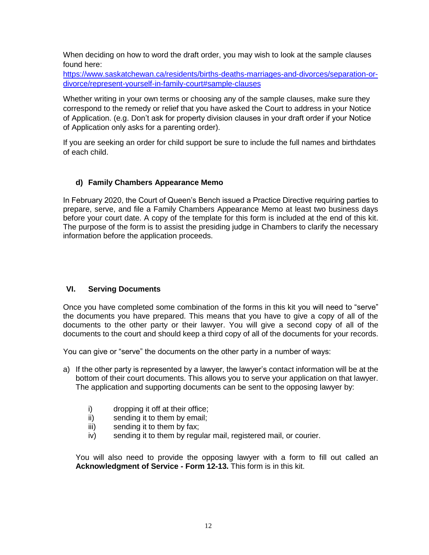When deciding on how to word the draft order, you may wish to look at the sample clauses found here:

[https://www.saskatchewan.ca/residents/births-deaths-marriages-and-divorces/separation-or](https://www.saskatchewan.ca/residents/births-deaths-marriages-and-divorces/separation-or-divorce/represent-yourself-in-family-court#sample-clauses)[divorce/represent-yourself-in-family-court#sample-clauses](https://www.saskatchewan.ca/residents/births-deaths-marriages-and-divorces/separation-or-divorce/represent-yourself-in-family-court#sample-clauses)

Whether writing in your own terms or choosing any of the sample clauses, make sure they correspond to the remedy or relief that you have asked the Court to address in your Notice of Application. (e.g. Don't ask for property division clauses in your draft order if your Notice of Application only asks for a parenting order).

If you are seeking an order for child support be sure to include the full names and birthdates of each child.

## **d) Family Chambers Appearance Memo**

In February 2020, the Court of Queen's Bench issued a Practice Directive requiring parties to prepare, serve, and file a Family Chambers Appearance Memo at least two business days before your court date. A copy of the template for this form is included at the end of this kit. The purpose of the form is to assist the presiding judge in Chambers to clarify the necessary information before the application proceeds.

## **VI. Serving Documents**

Once you have completed some combination of the forms in this kit you will need to "serve" the documents you have prepared. This means that you have to give a copy of all of the documents to the other party or their lawyer. You will give a second copy of all of the documents to the court and should keep a third copy of all of the documents for your records.

You can give or "serve" the documents on the other party in a number of ways:

- a) If the other party is represented by a lawyer, the lawyer's contact information will be at the bottom of their court documents. This allows you to serve your application on that lawyer. The application and supporting documents can be sent to the opposing lawyer by:
	- i) dropping it off at their office;
	- ii) sending it to them by email;
	- iii) sending it to them by fax;
	- iv) sending it to them by regular mail, registered mail, or courier.

You will also need to provide the opposing lawyer with a form to fill out called an **Acknowledgment of Service - Form 12-13.** This form is in this kit.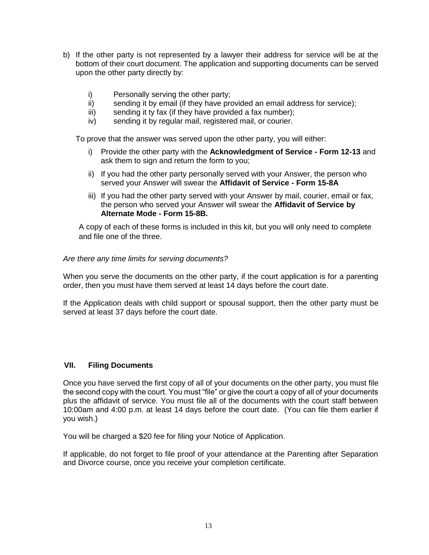- b) If the other party is not represented by a lawyer their address for service will be at the bottom of their court document. The application and supporting documents can be served upon the other party directly by:
	- i) Personally serving the other party;
	- ii) sending it by email (if they have provided an email address for service);
	- iii) sending it ty fax (if they have provided a fax number);
	- iv) sending it by regular mail, registered mail, or courier.

To prove that the answer was served upon the other party, you will either:

- i) Provide the other party with the **Acknowledgment of Service - Form 12-13** and ask them to sign and return the form to you;
- ii) If you had the other party personally served with your Answer, the person who served your Answer will swear the **Affidavit of Service - Form 15-8A**
- iii) If you had the other party served with your Answer by mail, courier, email or fax, the person who served your Answer will swear the **Affidavit of Service by Alternate Mode - Form 15-8B.**

A copy of each of these forms is included in this kit, but you will only need to complete and file one of the three.

#### *Are there any time limits for serving documents?*

When you serve the documents on the other party, if the court application is for a parenting order, then you must have them served at least 14 days before the court date.

If the Application deals with child support or spousal support, then the other party must be served at least 37 days before the court date.

#### **VII. Filing Documents**

Once you have served the first copy of all of your documents on the other party, you must file the second copy with the court. You must "file" or give the court a copy of all of your documents plus the affidavit of service. You must file all of the documents with the court staff between 10:00am and 4:00 p.m. at least 14 days before the court date. (You can file them earlier if you wish.)

You will be charged a \$20 fee for filing your Notice of Application.

If applicable, do not forget to file proof of your attendance at the Parenting after Separation and Divorce course, once you receive your completion certificate.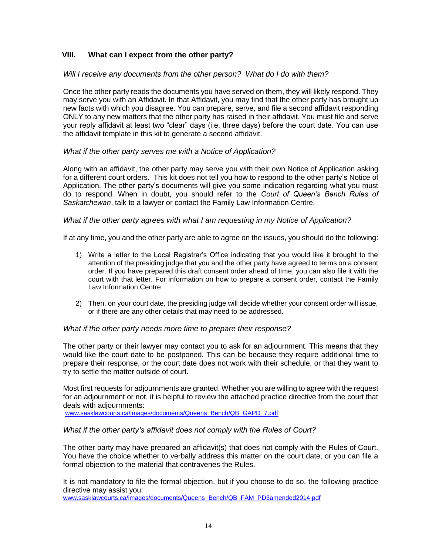## **VIII. What can I expect from the other party?**

#### *Will I receive any documents from the other person? What do I do with them?*

Once the other party reads the documents you have served on them, they will likely respond. They may serve you with an Affidavit. In that Affidavit, you may find that the other party has brought up new facts with which you disagree. You can prepare, serve, and file a second affidavit responding ONLY to any new matters that the other party has raised in their affidavit. You must file and serve your reply affidavit at least two "clear" days (i.e. three days) before the court date. You can use the affidavit template in this kit to generate a second affidavit.

#### *What if the other party serves me with a Notice of Application?*

Along with an affidavit, the other party may serve you with their own Notice of Application asking for a different court orders. This kit does not tell you how to respond to the other party's Notice of Application. The other party's documents will give you some indication regarding what you must do to respond. When in doubt, you should refer to the *Court of Queen's Bench Rules of Saskatchewan*, talk to a lawyer or contact the Family Law Information Centre.

#### *What if the other party agrees with what I am requesting in my Notice of Application?*

If at any time, you and the other party are able to agree on the issues, you should do the following:

- 1) Write a letter to the Local Registrar's Office indicating that you would like it brought to the attention of the presiding judge that you and the other party have agreed to terms on a consent order. If you have prepared this draft consent order ahead of time, you can also file it with the court with that letter. For information on how to prepare a consent order, contact the Family Law Information Centre
- 2) Then, on your court date, the presiding judge will decide whether your consent order will issue, or if there are any other details that may need to be addressed.

#### *What if the other party needs more time to prepare their response?*

The other party or their lawyer may contact you to ask for an adjournment. This means that they would like the court date to be postponed. This can be because they require additional time to prepare their response, or the court date does not work with their schedule, or that they want to try to settle the matter outside of court.

Most first requests for adjournments are granted. Whether you are willing to agree with the request for an adjournment or not, it is helpful to review the attached practice directive from the court that deals with adjournments:

[www.sasklawcourts.ca/images/documents/Queens\\_Bench/QB\\_GAPD\\_7.pdf](http://www.sasklawcourts.ca/images/documents/Queens_Bench/QB_GAPD_7.pdf) 

#### *What if the other party's affidavit does not comply with the Rules of Court?*

The other party may have prepared an affidavit(s) that does not comply with the Rules of Court. You have the choice whether to verbally address this matter on the court date, or you can file a formal objection to the material that contravenes the Rules.

It is not mandatory to file the formal objection, but if you choose to do so, the following practice directive may assist you:

[www.sasklawcourts.ca/images/documents/Queens\\_Bench/QB\\_FAM\\_PD3amended2014.pdf](http://www.sasklawcourts.ca/images/documents/Queens_Bench/QB_FAM_PD3amended2014.pdf)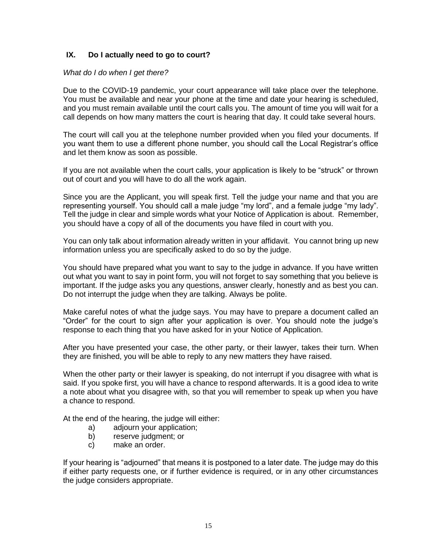## **IX. Do I actually need to go to court?**

#### *What do I do when I get there?*

Due to the COVID-19 pandemic, your court appearance will take place over the telephone. You must be available and near your phone at the time and date your hearing is scheduled, and you must remain available until the court calls you. The amount of time you will wait for a call depends on how many matters the court is hearing that day. It could take several hours.

The court will call you at the telephone number provided when you filed your documents. If you want them to use a different phone number, you should call the Local Registrar's office and let them know as soon as possible.

If you are not available when the court calls, your application is likely to be "struck" or thrown out of court and you will have to do all the work again.

Since you are the Applicant, you will speak first. Tell the judge your name and that you are representing yourself. You should call a male judge "my lord", and a female judge "my lady". Tell the judge in clear and simple words what your Notice of Application is about. Remember, you should have a copy of all of the documents you have filed in court with you.

You can only talk about information already written in your affidavit. You cannot bring up new information unless you are specifically asked to do so by the judge.

You should have prepared what you want to say to the judge in advance. If you have written out what you want to say in point form, you will not forget to say something that you believe is important. If the judge asks you any questions, answer clearly, honestly and as best you can. Do not interrupt the judge when they are talking. Always be polite.

Make careful notes of what the judge says. You may have to prepare a document called an "Order" for the court to sign after your application is over. You should note the judge's response to each thing that you have asked for in your Notice of Application.

After you have presented your case, the other party, or their lawyer, takes their turn. When they are finished, you will be able to reply to any new matters they have raised.

When the other party or their lawyer is speaking, do not interrupt if you disagree with what is said. If you spoke first, you will have a chance to respond afterwards. It is a good idea to write a note about what you disagree with, so that you will remember to speak up when you have a chance to respond.

At the end of the hearing, the judge will either:

- a) adjourn your application;
- b) reserve judgment; or
- c) make an order.

If your hearing is "adjourned" that means it is postponed to a later date. The judge may do this if either party requests one, or if further evidence is required, or in any other circumstances the judge considers appropriate.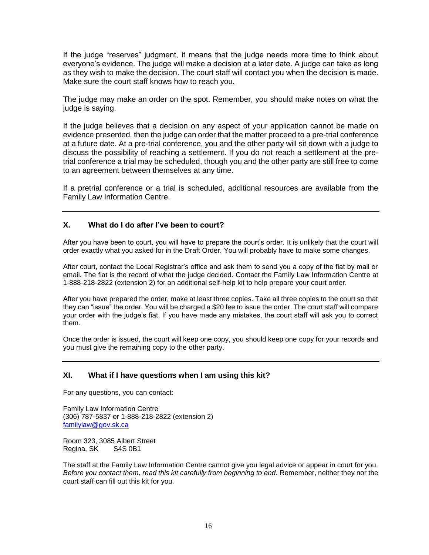If the judge "reserves" judgment, it means that the judge needs more time to think about everyone's evidence. The judge will make a decision at a later date. A judge can take as long as they wish to make the decision. The court staff will contact you when the decision is made. Make sure the court staff knows how to reach you.

The judge may make an order on the spot. Remember, you should make notes on what the judge is saying.

If the judge believes that a decision on any aspect of your application cannot be made on evidence presented, then the judge can order that the matter proceed to a pre-trial conference at a future date. At a pre-trial conference, you and the other party will sit down with a judge to discuss the possibility of reaching a settlement. If you do not reach a settlement at the pretrial conference a trial may be scheduled, though you and the other party are still free to come to an agreement between themselves at any time.

If a pretrial conference or a trial is scheduled, additional resources are available from the Family Law Information Centre.

#### **X. What do I do after I've been to court?**

After you have been to court, you will have to prepare the court's order. It is unlikely that the court will order exactly what you asked for in the Draft Order. You will probably have to make some changes.

After court, contact the Local Registrar's office and ask them to send you a copy of the fiat by mail or email. The fiat is the record of what the judge decided. Contact the Family Law Information Centre at 1-888-218-2822 (extension 2) for an additional self-help kit to help prepare your court order.

After you have prepared the order, make at least three copies. Take all three copies to the court so that they can "issue" the order. You will be charged a \$20 fee to issue the order. The court staff will compare your order with the judge's fiat. If you have made any mistakes, the court staff will ask you to correct them.

Once the order is issued, the court will keep one copy, you should keep one copy for your records and you must give the remaining copy to the other party.

#### **XI. What if I have questions when I am using this kit?**

For any questions, you can contact:

Family Law Information Centre (306) 787-5837 or 1-888-218-2822 (extension 2) [familylaw@gov.sk.ca](mailto:familylaw@gov.sk.ca)

Room 323, 3085 Albert Street Regina, SK S4S 0B1

The staff at the Family Law Information Centre cannot give you legal advice or appear in court for you. *Before you contact them, read this kit carefully from beginning to end.* Remember, neither they nor the court staff can fill out this kit for you.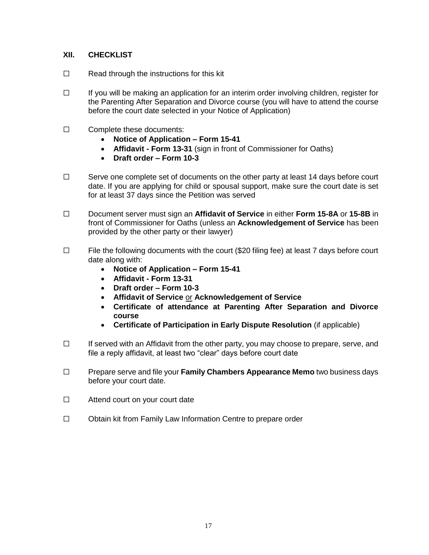## **XII. CHECKLIST**

- ☐ Read through the instructions for this kit
- ☐ If you will be making an application for an interim order involving children, register for the Parenting After Separation and Divorce course (you will have to attend the course before the court date selected in your Notice of Application)
- ☐ Complete these documents:
	- **Notice of Application – Form 15-41**
	- **Affidavit - Form 13-31** (sign in front of Commissioner for Oaths)
	- **Draft order – Form 10-3**
- ☐ Serve one complete set of documents on the other party at least 14 days before court date. If you are applying for child or spousal support, make sure the court date is set for at least 37 days since the Petition was served
- ☐ Document server must sign an **Affidavit of Service** in either **Form 15-8A** or **15-8B** in front of Commissioner for Oaths (unless an **Acknowledgement of Service** has been provided by the other party or their lawyer)
- ☐ File the following documents with the court (\$20 filing fee) at least 7 days before court date along with:
	- **Notice of Application – Form 15-41**
	- **Affidavit - Form 13-31**
	- **Draft order – Form 10-3**
	- **Affidavit of Service** or **Acknowledgement of Service**
	- **Certificate of attendance at Parenting After Separation and Divorce course**
	- **Certificate of Participation in Early Dispute Resolution** (if applicable)
- ☐ If served with an Affidavit from the other party, you may choose to prepare, serve, and file a reply affidavit, at least two "clear" days before court date
- ☐ Prepare serve and file your **Family Chambers Appearance Memo** two business days before your court date.
- ☐ Attend court on your court date
- ☐ Obtain kit from Family Law Information Centre to prepare order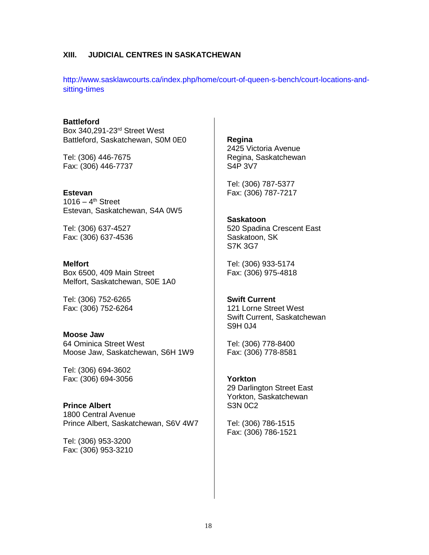#### **XIII. JUDICIAL CENTRES IN SASKATCHEWAN**

[http://www.sasklawcourts.ca/index.php/home/court-of-queen-s-bench/court-locations-and](http://www.sasklawcourts.ca/index.php/home/court-of-queen-s-bench/court-locations-and-sitting-times)[sitting-times](http://www.sasklawcourts.ca/index.php/home/court-of-queen-s-bench/court-locations-and-sitting-times)

**Battleford** Box 340,291-23rd Street West Battleford, Saskatchewan, S0M 0E0

Tel: (306) 446-7675 Fax: (306) 446-7737

**Estevan**  $1016 - 4$ <sup>th</sup> Street Estevan, Saskatchewan, S4A 0W5

Tel: (306) 637-4527 Fax: (306) 637-4536

**Melfort** Box 6500, 409 Main Street Melfort, Saskatchewan, S0E 1A0

Tel: (306) 752-6265 Fax: (306) 752-6264

**Moose Jaw** 64 Ominica Street West Moose Jaw, Saskatchewan, S6H 1W9

Tel: (306) 694-3602 Fax: (306) 694-3056

**Prince Albert** 1800 Central Avenue Prince Albert, Saskatchewan, S6V 4W7

Tel: (306) 953-3200 Fax: (306) 953-3210 **Regina** 2425 Victoria Avenue Regina, Saskatchewan S4P 3V7

Tel: (306) 787-5377 Fax: (306) 787-7217

**Saskatoon** 520 Spadina Crescent East Saskatoon, SK S7K 3G7

Tel: (306) 933-5174 Fax: (306) 975-4818

**Swift Current** 121 Lorne Street West Swift Current, Saskatchewan S9H 0J4

Tel: (306) 778-8400 Fax: (306) 778-8581

**Yorkton** 29 Darlington Street East Yorkton, Saskatchewan S3N 0C2

Tel: (306) 786-1515 Fax: (306) 786-1521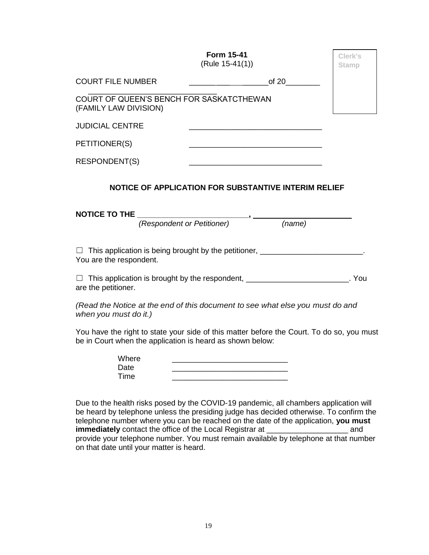|                                                                                                                                          | <b>Form 15-41</b><br>(Rule 15-41(1))                                                                                                                   | Clerk's<br><b>Stamp</b> |  |  |
|------------------------------------------------------------------------------------------------------------------------------------------|--------------------------------------------------------------------------------------------------------------------------------------------------------|-------------------------|--|--|
| <b>COURT FILE NUMBER</b>                                                                                                                 | of 20                                                                                                                                                  |                         |  |  |
| (FAMILY LAW DIVISION)                                                                                                                    | COURT OF QUEEN'S BENCH FOR SASKATCTHEWAN                                                                                                               |                         |  |  |
| <b>JUDICIAL CENTRE</b>                                                                                                                   |                                                                                                                                                        |                         |  |  |
| PETITIONER(S)                                                                                                                            |                                                                                                                                                        |                         |  |  |
| <b>RESPONDENT(S)</b>                                                                                                                     |                                                                                                                                                        |                         |  |  |
| NOTICE OF APPLICATION FOR SUBSTANTIVE INTERIM RELIEF<br>NOTICE TO THE<br>(Respondent or Petitioner) (Respondent or Petitioner)<br>(name) |                                                                                                                                                        |                         |  |  |
| You are the respondent.                                                                                                                  | □ This application is being brought by the petitioner, ________________________.                                                                       |                         |  |  |
| are the petitioner.                                                                                                                      | □ This application is brought by the respondent, ___________________________. You                                                                      |                         |  |  |
| when you must do it.)                                                                                                                    | (Read the Notice at the end of this document to see what else you must do and                                                                          |                         |  |  |
|                                                                                                                                          | You have the right to state your side of this matter before the Court. To do so, you must<br>be in Court when the application is heard as shown below: |                         |  |  |
| Where<br>Date<br>Time                                                                                                                    | <u> 1989 - Johann Barbara, martin amerikan basar dan berasal dalam basa dalam basar dalam basar dalam basar dala</u>                                   |                         |  |  |

Due to the health risks posed by the COVID-19 pandemic, all chambers application will be heard by telephone unless the presiding judge has decided otherwise. To confirm the telephone number where you can be reached on the date of the application, **you must immediately** contact the office of the Local Registrar at \_\_\_\_\_\_\_\_\_\_\_\_\_\_\_\_\_\_\_ and provide your telephone number. You must remain available by telephone at that number on that date until your matter is heard.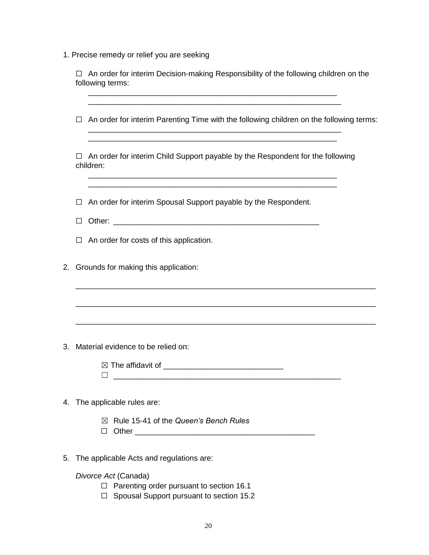1. Precise remedy or relief you are seeking

|    | An order for interim Decision-making Responsibility of the following children on the<br>$\Box$<br>following terms:<br><u> 1989 - Johann Stoff, deutscher Stoff, der Stoff, der Stoff, der Stoff, der Stoff, der Stoff, der Stoff, der S</u> |
|----|---------------------------------------------------------------------------------------------------------------------------------------------------------------------------------------------------------------------------------------------|
|    | An order for interim Parenting Time with the following children on the following terms:<br>$\Box$<br><u> 1980 - Jan James James James James James James James James James James James James James James James James J</u>                   |
|    | An order for interim Child Support payable by the Respondent for the following<br>$\Box$<br>children:<br><u> 1989 - Johann Stoff, deutscher Stoff, der Stoff, der Stoff, der Stoff, der Stoff, der Stoff, der Stoff, der S</u>              |
|    | An order for interim Spousal Support payable by the Respondent.<br>□<br>$\mathsf{L}$                                                                                                                                                        |
|    | An order for costs of this application.<br>□                                                                                                                                                                                                |
| 2. | Grounds for making this application:                                                                                                                                                                                                        |
|    |                                                                                                                                                                                                                                             |
| 3. | Material evidence to be relied on:                                                                                                                                                                                                          |
|    |                                                                                                                                                                                                                                             |
|    | 4. The applicable rules are:                                                                                                                                                                                                                |
|    | Rule 15-41 of the Queen's Bench Rules<br>$\bowtie$<br>$\Box$                                                                                                                                                                                |
| 5. | The applicable Acts and regulations are:                                                                                                                                                                                                    |
|    | Divorce Act (Canada)                                                                                                                                                                                                                        |

- ☐ Parenting order pursuant to section 16.1
- ☐ Spousal Support pursuant to section 15.2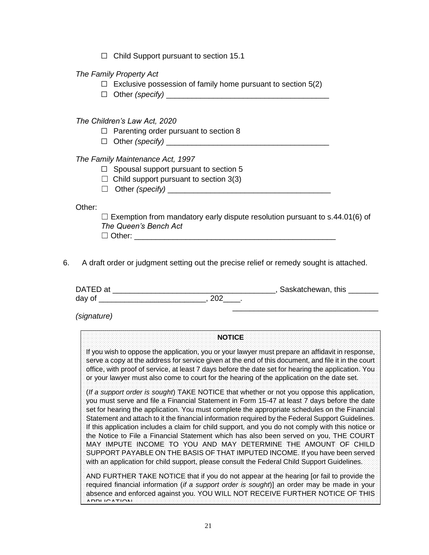$\Box$  Child Support pursuant to section 15.1

#### *The Family Property Act*

- $\Box$  Exclusive possession of family home pursuant to section 5(2)
- □ Other *(specify)*

#### *The Children's Law Act, 2020*

- $\Box$  Parenting order pursuant to section 8
- □ Other *(specify)* \_\_\_

#### *The Family Maintenance Act, 1997*

- $\Box$  Spousal support pursuant to section 5
- $\Box$  Child support pursuant to section 3(3)
- □ Other *(specify)*

Other:

 $\Box$  Exemption from mandatory early dispute resolution pursuant to s.44.01(6) of *The Queen's Bench Act*

 $\Box$  Other:

6. A draft order or judgment setting out the precise relief or remedy sought is attached.

| DATED at | , Saskatchewan, this |
|----------|----------------------|
| day of   |                      |
|          |                      |

*(signature)*

#### **NOTICE**

If you wish to oppose the application, you or your lawyer must prepare an affidavit in response, serve a copy at the address for service given at the end of this document, and file it in the court office, with proof of service, at least 7 days before the date set for hearing the application. You or your lawyer must also come to court for the hearing of the application on the date set.

(*If a support order is sought*) TAKE NOTICE that whether or not you oppose this application, you must serve and file a Financial Statement in Form 15-47 at least 7 days before the date set for hearing the application. You must complete the appropriate schedules on the Financial Statement and attach to it the financial information required by the Federal Support Guidelines. If this application includes a claim for child support, and you do not comply with this notice or the Notice to File a Financial Statement which has also been served on you, THE COURT MAY IMPUTE INCOME TO YOU AND MAY DETERMINE THE AMOUNT OF CHILD SUPPORT PAYABLE ON THE BASIS OF THAT IMPUTED INCOME. If you have been served with an application for child support, please consult the Federal Child Support Guidelines.

AND FURTHER TAKE NOTICE that if you do not appear at the hearing [or fail to provide the required financial information (*if a support order is sought*)] an order may be made in your absence and enforced against you. YOU WILL NOT RECEIVE FURTHER NOTICE OF THIS APPLICATION.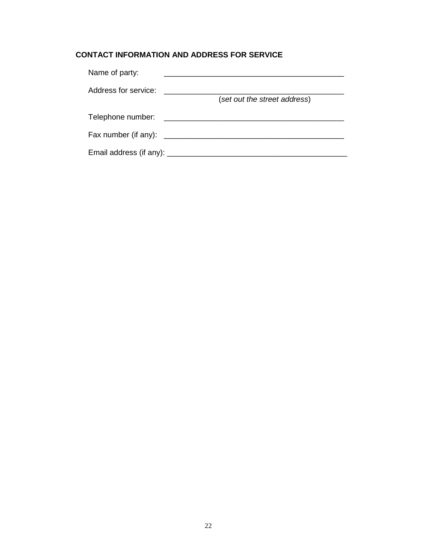# **CONTACT INFORMATION AND ADDRESS FOR SERVICE**

| Name of party:                |                              |
|-------------------------------|------------------------------|
| Address for service:          | (set out the street address) |
| Telephone number:             |                              |
| Fax number (if any): ________ |                              |
| Email address (if any): ____  |                              |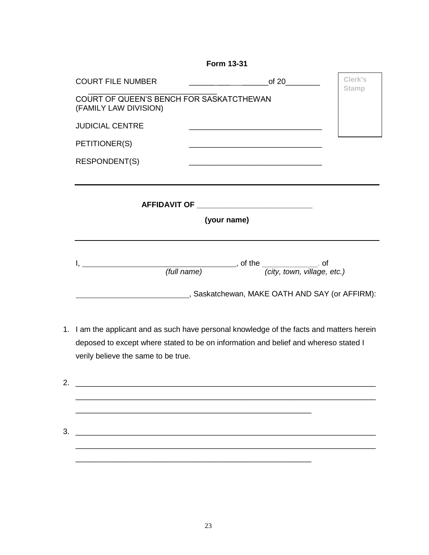| <b>Form 13-31</b>        |                                                                 |                         |  |  |
|--------------------------|-----------------------------------------------------------------|-------------------------|--|--|
| <b>COURT FILE NUMBER</b> | $\overbrace{\hspace{2.5cm}}$ of 20 $\overbrace{\hspace{2.5cm}}$ | Clerk's<br><b>Stamp</b> |  |  |
| (FAMILY LAW DIVISION)    | COURT OF QUEEN'S BENCH FOR SASKATCTHEWAN                        |                         |  |  |
| <b>JUDICIAL CENTRE</b>   |                                                                 |                         |  |  |
| PETITIONER(S)            |                                                                 |                         |  |  |
| RESPONDENT(S)            |                                                                 |                         |  |  |
|                          |                                                                 |                         |  |  |
|                          |                                                                 |                         |  |  |
| (your name)              |                                                                 |                         |  |  |
| (full name)              | -<br>(city, town, village, etc.)                                |                         |  |  |
|                          | Saskatchewan, MAKE OATH AND SAY (or AFFIRM):                    |                         |  |  |

1. I am the applicant and as such have personal knowledge of the facts and matters herein deposed to except where stated to be on information and belief and whereso stated I verily believe the same to be true.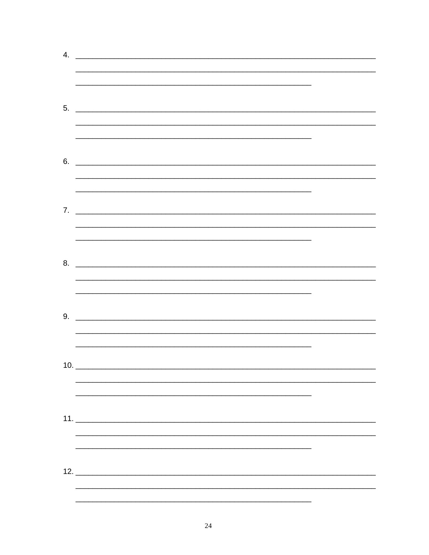| 4. | <u> 2000 - Jan James James Jan James James James James James James James James James James James James James Jam</u>  |  |
|----|-----------------------------------------------------------------------------------------------------------------------|--|
|    |                                                                                                                       |  |
|    |                                                                                                                       |  |
|    |                                                                                                                       |  |
|    |                                                                                                                       |  |
|    | $5.$ $\overline{\phantom{a}}$                                                                                         |  |
|    |                                                                                                                       |  |
|    | <u> 1989 - Johann Harry Harry Harry Harry Harry Harry Harry Harry Harry Harry Harry Harry Harry Harry Harry Harry</u> |  |
|    |                                                                                                                       |  |
|    | $6.$ $\overline{\phantom{a}}$                                                                                         |  |
|    |                                                                                                                       |  |
|    |                                                                                                                       |  |
|    |                                                                                                                       |  |
|    |                                                                                                                       |  |
|    |                                                                                                                       |  |
|    |                                                                                                                       |  |
|    |                                                                                                                       |  |
|    | $8.$ $\overline{\phantom{1.55\,\mathrm{m}}\phantom{1}}$                                                               |  |
|    |                                                                                                                       |  |
|    |                                                                                                                       |  |
|    |                                                                                                                       |  |
|    |                                                                                                                       |  |
|    |                                                                                                                       |  |
|    |                                                                                                                       |  |
|    |                                                                                                                       |  |
|    |                                                                                                                       |  |
|    |                                                                                                                       |  |
|    |                                                                                                                       |  |
|    |                                                                                                                       |  |
|    |                                                                                                                       |  |
|    |                                                                                                                       |  |
|    |                                                                                                                       |  |
|    |                                                                                                                       |  |
|    |                                                                                                                       |  |
|    |                                                                                                                       |  |
|    |                                                                                                                       |  |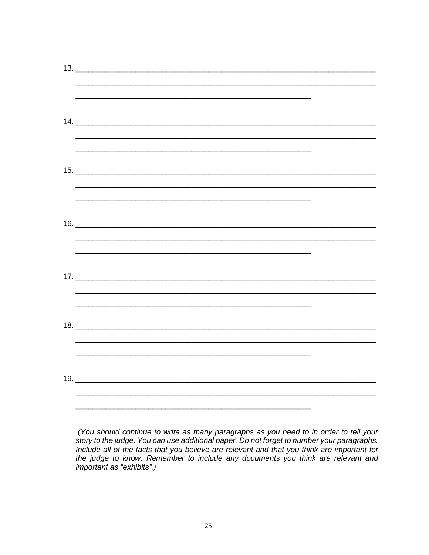| $\begin{array}{c}\n 13. \quad \textcolor{red}{\overline{\qquad \qquad }} \textcolor{red}{\overline{\qquad \qquad }} \textcolor{red}{\overline{\qquad \qquad }} \textcolor{red}{\overline{\qquad \qquad }} \textcolor{red}{\overline{\qquad \qquad }} \textcolor{red}{\overline{\qquad \qquad }} \textcolor{red}{\overline{\qquad \qquad }} \textcolor{red}{\overline{\qquad \qquad }} \textcolor{red}{\overline{\qquad \qquad }} \textcolor{red}{\overline{\qquad \qquad }} \textcolor{red}{\overline{\qquad \qquad }} \textcolor{red}{\overline{\qquad \qquad }} \textcolor{red}{\overline{\qquad \q$ |  |
|--------------------------------------------------------------------------------------------------------------------------------------------------------------------------------------------------------------------------------------------------------------------------------------------------------------------------------------------------------------------------------------------------------------------------------------------------------------------------------------------------------------------------------------------------------------------------------------------------------|--|
| ,我们也不能在这里的人,我们也不能在这里的人,我们也不能在这里的人,我们也不能在这里的人,我们也不能在这里的人,我们也不能在这里的人,我们也不能在这里的人,我们                                                                                                                                                                                                                                                                                                                                                                                                                                                                                                                       |  |
|                                                                                                                                                                                                                                                                                                                                                                                                                                                                                                                                                                                                        |  |
|                                                                                                                                                                                                                                                                                                                                                                                                                                                                                                                                                                                                        |  |
|                                                                                                                                                                                                                                                                                                                                                                                                                                                                                                                                                                                                        |  |
|                                                                                                                                                                                                                                                                                                                                                                                                                                                                                                                                                                                                        |  |
|                                                                                                                                                                                                                                                                                                                                                                                                                                                                                                                                                                                                        |  |
|                                                                                                                                                                                                                                                                                                                                                                                                                                                                                                                                                                                                        |  |
|                                                                                                                                                                                                                                                                                                                                                                                                                                                                                                                                                                                                        |  |
|                                                                                                                                                                                                                                                                                                                                                                                                                                                                                                                                                                                                        |  |
| <u> 1989 - Johann Barn, amerikan bahasa di sebagai bagian dan berasal dalam bagian dalam bagian dalam bagian dala</u>                                                                                                                                                                                                                                                                                                                                                                                                                                                                                  |  |
|                                                                                                                                                                                                                                                                                                                                                                                                                                                                                                                                                                                                        |  |
|                                                                                                                                                                                                                                                                                                                                                                                                                                                                                                                                                                                                        |  |
|                                                                                                                                                                                                                                                                                                                                                                                                                                                                                                                                                                                                        |  |
|                                                                                                                                                                                                                                                                                                                                                                                                                                                                                                                                                                                                        |  |
|                                                                                                                                                                                                                                                                                                                                                                                                                                                                                                                                                                                                        |  |
| <u> 1989 - Jan James James Barnett, amerikan berlindar (h. 1989).</u>                                                                                                                                                                                                                                                                                                                                                                                                                                                                                                                                  |  |
|                                                                                                                                                                                                                                                                                                                                                                                                                                                                                                                                                                                                        |  |
|                                                                                                                                                                                                                                                                                                                                                                                                                                                                                                                                                                                                        |  |
|                                                                                                                                                                                                                                                                                                                                                                                                                                                                                                                                                                                                        |  |
|                                                                                                                                                                                                                                                                                                                                                                                                                                                                                                                                                                                                        |  |
|                                                                                                                                                                                                                                                                                                                                                                                                                                                                                                                                                                                                        |  |
|                                                                                                                                                                                                                                                                                                                                                                                                                                                                                                                                                                                                        |  |
|                                                                                                                                                                                                                                                                                                                                                                                                                                                                                                                                                                                                        |  |
|                                                                                                                                                                                                                                                                                                                                                                                                                                                                                                                                                                                                        |  |
|                                                                                                                                                                                                                                                                                                                                                                                                                                                                                                                                                                                                        |  |
|                                                                                                                                                                                                                                                                                                                                                                                                                                                                                                                                                                                                        |  |
|                                                                                                                                                                                                                                                                                                                                                                                                                                                                                                                                                                                                        |  |
| $19. \_$                                                                                                                                                                                                                                                                                                                                                                                                                                                                                                                                                                                               |  |
|                                                                                                                                                                                                                                                                                                                                                                                                                                                                                                                                                                                                        |  |
|                                                                                                                                                                                                                                                                                                                                                                                                                                                                                                                                                                                                        |  |

(You should continue to write as many paragraphs as you need to in order to tell your<br>story to the judge. You can use additional paper. Do not forget to number your paragraphs.<br>Include all of the facts that you believe are important as "exhibits".)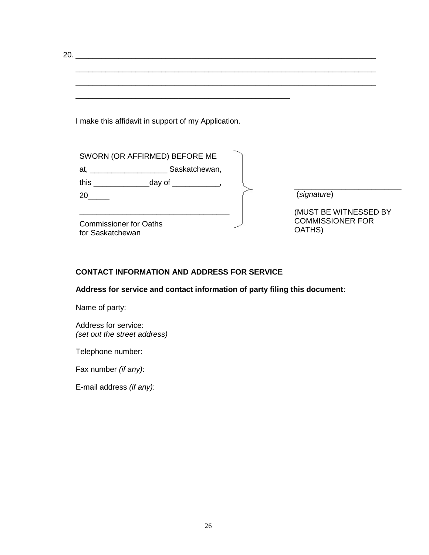20. \_\_\_\_\_\_\_\_\_\_\_\_\_\_\_\_\_\_\_\_\_\_\_\_\_\_\_\_\_\_\_\_\_\_\_\_\_\_\_\_\_\_\_\_\_\_\_\_\_\_\_\_\_\_\_\_\_\_\_\_\_\_\_\_\_\_\_\_\_\_

I make this affidavit in support of my Application.

\_\_\_\_\_\_\_\_\_\_\_\_\_\_\_\_\_\_\_\_\_\_\_\_\_\_\_\_\_\_\_\_\_\_\_\_\_\_\_\_\_\_\_\_\_\_\_\_\_\_\_\_\_\_\_\_\_\_\_\_\_\_\_\_\_\_\_\_\_\_

\_\_\_\_\_\_\_\_\_\_\_\_\_\_\_\_\_\_\_\_\_\_\_\_\_\_\_\_\_\_\_\_\_\_\_\_\_\_\_\_\_\_\_\_\_\_\_\_\_\_

| SWORN (OR AFFIRMED) BEFORE ME                                                                                                   |                                                            |
|---------------------------------------------------------------------------------------------------------------------------------|------------------------------------------------------------|
| Saskatchewan,<br>at, and the state of the state of the state of the state of the state of the state of the state of the state o |                                                            |
| this<br>_day of _                                                                                                               |                                                            |
| 20                                                                                                                              | (signature)                                                |
| <b>Commissioner for Oaths</b><br>for Saskatchewan                                                                               | (MUST BE WITNESSED BY<br><b>COMMISSIONER FOR</b><br>OATHS) |

\_\_\_\_\_\_\_\_\_\_\_\_\_\_\_\_\_\_\_\_\_\_\_\_\_\_\_\_\_\_\_\_\_\_\_\_\_\_\_\_\_\_\_\_\_\_\_\_\_\_\_\_\_\_\_\_\_\_\_\_\_\_\_\_\_\_\_\_\_\_

## **CONTACT INFORMATION AND ADDRESS FOR SERVICE**

**Address for service and contact information of party filing this document**:

Name of party:

Address for service: *(set out the street address)*

Telephone number:

Fax number *(if any)*:

E-mail address *(if any)*: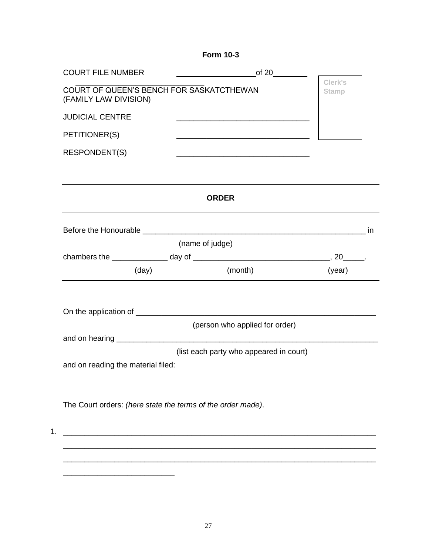**Form 10-3**

| <b>COURT FILE NUMBER</b>                                                                     |       | $\overline{\phantom{a}}$ of 20 $\overline{\phantom{a}}$                                                              |        |  |  |  |
|----------------------------------------------------------------------------------------------|-------|----------------------------------------------------------------------------------------------------------------------|--------|--|--|--|
| Clerk's<br>COURT OF QUEEN'S BENCH FOR SASKATCTHEWAN<br><b>Stamp</b><br>(FAMILY LAW DIVISION) |       |                                                                                                                      |        |  |  |  |
| <b>JUDICIAL CENTRE</b>                                                                       |       | <u> 2000 - Jan James James Jan James James James James James James James James James James James James James Jam</u> |        |  |  |  |
| PETITIONER(S)                                                                                |       |                                                                                                                      |        |  |  |  |
| RESPONDENT(S)                                                                                |       |                                                                                                                      |        |  |  |  |
|                                                                                              |       | <b>ORDER</b>                                                                                                         |        |  |  |  |
|                                                                                              |       |                                                                                                                      |        |  |  |  |
|                                                                                              |       | (name of judge)                                                                                                      |        |  |  |  |
|                                                                                              |       | (month)                                                                                                              | (year) |  |  |  |
|                                                                                              | (day) |                                                                                                                      |        |  |  |  |
|                                                                                              |       |                                                                                                                      |        |  |  |  |
|                                                                                              |       | (person who applied for order)                                                                                       |        |  |  |  |
|                                                                                              |       |                                                                                                                      |        |  |  |  |
| and on reading the material filed:                                                           |       | (list each party who appeared in court)                                                                              |        |  |  |  |
|                                                                                              |       |                                                                                                                      |        |  |  |  |
|                                                                                              |       | The Court orders: (here state the terms of the order made).                                                          |        |  |  |  |
|                                                                                              |       |                                                                                                                      |        |  |  |  |
|                                                                                              |       |                                                                                                                      |        |  |  |  |
|                                                                                              |       |                                                                                                                      |        |  |  |  |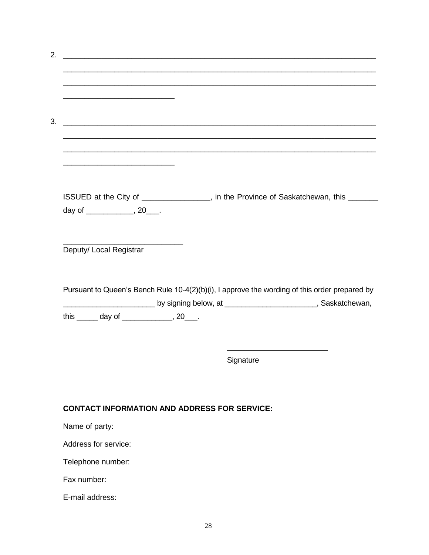|                                                                |                                                     | ,我们也不能在这里的人,我们也不能在这里的人,我们也不能在这里的人,我们也不能在这里的人,我们也不能在这里的人,我们也不能在这里的人,我们也不能在这里的人,我们也                               |  |
|----------------------------------------------------------------|-----------------------------------------------------|-----------------------------------------------------------------------------------------------------------------|--|
| <u> 1989 - Johann Barbara, margaret eta idazlea (h. 1989).</u> |                                                     |                                                                                                                 |  |
|                                                                |                                                     |                                                                                                                 |  |
|                                                                |                                                     | ISSUED at the City of _______________, in the Province of Saskatchewan, this ______                             |  |
| day of _______________, 20____.                                |                                                     |                                                                                                                 |  |
|                                                                |                                                     |                                                                                                                 |  |
|                                                                |                                                     |                                                                                                                 |  |
|                                                                |                                                     |                                                                                                                 |  |
|                                                                |                                                     |                                                                                                                 |  |
| Deputy/ Local Registrar                                        |                                                     |                                                                                                                 |  |
|                                                                |                                                     | Pursuant to Queen's Bench Rule 10-4(2)(b)(i), I approve the wording of this order prepared by                   |  |
|                                                                |                                                     | LASSED AND ASSEMBLE ASSESSMENT AND A LASSED AND A LASSED AND A LASSED AND A LASSED AND A LASSED AND A LASSED AN |  |
| this $\_\_\_$ day of $\_\_\_\_\_$ , 20 $\_\_\_\$ .             |                                                     |                                                                                                                 |  |
|                                                                |                                                     |                                                                                                                 |  |
|                                                                |                                                     |                                                                                                                 |  |
|                                                                |                                                     |                                                                                                                 |  |
|                                                                | Signature                                           |                                                                                                                 |  |
|                                                                |                                                     |                                                                                                                 |  |
|                                                                |                                                     |                                                                                                                 |  |
|                                                                | <b>CONTACT INFORMATION AND ADDRESS FOR SERVICE:</b> |                                                                                                                 |  |
|                                                                |                                                     |                                                                                                                 |  |
|                                                                |                                                     |                                                                                                                 |  |
| Name of party:<br>Address for service:                         |                                                     |                                                                                                                 |  |
| Telephone number:                                              |                                                     |                                                                                                                 |  |

Fax number:

E-mail address: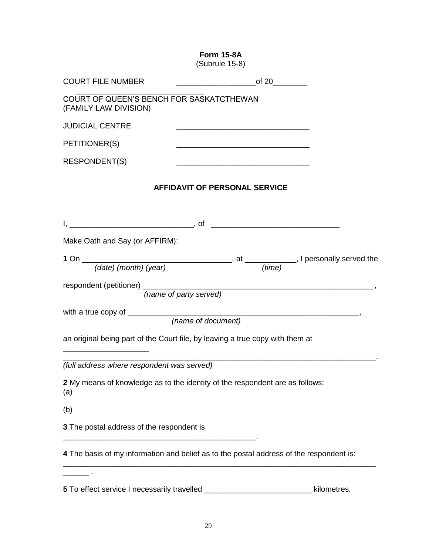**Form 15-8A** (Subrule 15-8) COURT FILE NUMBER of 20 \_\_\_\_\_\_\_\_\_\_\_\_\_\_\_\_\_\_\_\_\_\_\_\_\_\_\_\_\_\_ COURT OF QUEEN'S BENCH FOR SASKATCTHEWAN (FAMILY LAW DIVISION) **JUDICIAL CENTRE** PETITIONER(S) \_\_\_\_\_\_\_\_\_\_\_\_\_\_\_\_\_\_\_\_\_\_\_\_\_\_\_\_\_\_\_ RESPONDENT(S) **AFFIDAVIT OF PERSONAL SERVICE** I, \_\_\_\_\_\_\_\_\_\_\_\_\_\_\_\_\_\_\_\_\_\_\_\_\_\_\_\_\_, of \_\_\_\_\_\_\_\_\_\_\_\_\_\_\_\_\_\_\_\_\_\_\_\_\_\_\_\_\_\_ Make Oath and Say (or AFFIRM): **1** On \_\_\_\_\_\_\_\_\_\_\_\_\_\_\_\_\_\_\_\_\_\_\_\_\_\_\_\_\_\_\_\_\_\_\_, at \_\_\_\_\_\_\_\_\_\_\_\_, I personally served the *(date) (month) (year) (time)* respondent (petitioner) \_\_\_\_\_\_\_\_\_\_\_\_\_\_\_\_\_\_\_\_\_\_\_\_\_\_\_\_\_\_\_\_\_\_\_\_\_\_\_\_\_\_\_\_\_\_\_\_\_\_\_\_\_\_,  *(name of party served)* with a true copy of \_\_\_\_\_\_\_\_\_\_\_\_\_\_\_\_\_\_\_\_\_\_\_\_\_\_\_\_\_\_\_\_\_\_\_\_\_\_\_\_\_\_\_\_\_\_\_\_\_\_\_\_\_\_,  *(name of document)* an original being part of the Court file, by leaving a true copy with them at \_\_\_\_\_\_\_\_\_\_\_\_\_\_\_\_\_\_\_\_ \_\_\_\_\_\_\_\_\_\_\_\_\_\_\_\_\_\_\_\_\_\_\_\_\_\_\_\_\_\_\_\_\_\_\_\_\_\_\_\_\_\_\_\_\_\_\_\_\_\_\_\_\_\_\_\_\_\_\_\_\_\_\_\_\_\_\_\_\_\_\_\_\_. *(full address where respondent was served)* **2** My means of knowledge as to the identity of the respondent are as follows: (a) (b) **3** The postal address of the respondent is \_\_\_\_\_\_\_\_\_\_\_\_\_\_\_\_\_\_\_\_\_\_\_\_\_\_\_\_\_\_\_\_\_\_\_\_\_\_\_\_\_\_\_\_\_. **4** The basis of my information and belief as to the postal address of the respondent is: \_\_\_\_\_\_\_\_\_\_\_\_\_\_\_\_\_\_\_\_\_\_\_\_\_\_\_\_\_\_\_\_\_\_\_\_\_\_\_\_\_\_\_\_\_\_\_\_\_\_\_\_\_\_\_\_\_\_\_\_\_\_\_\_\_\_\_\_\_\_\_\_\_  $\mathcal{L}$  . **5** To effect service I necessarily travelled \_\_\_\_\_\_\_\_\_\_\_\_\_\_\_\_\_\_\_\_\_\_\_\_\_ kilometres.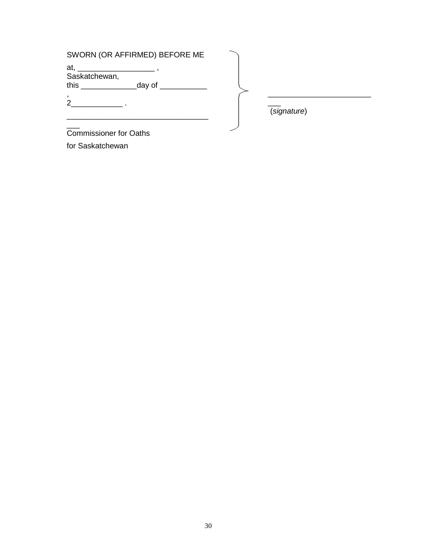# SWORN (OR AFFIRMED) BEFORE ME

\_\_\_\_\_\_\_\_\_\_\_\_\_\_\_\_\_\_\_\_\_\_\_\_\_\_\_\_\_\_\_\_\_

at, \_\_\_\_\_\_\_\_\_\_\_\_\_\_\_\_\_\_\_\_\_\_\_ , Saskatchewan, this  $\frac{1}{\sqrt{2\pi}}$  day of  $\frac{1}{\sqrt{2\pi}}$ ,

2\_\_\_\_\_\_\_\_\_\_\_\_ .

 $\overline{\phantom{a}}$ 

 $\overline{\phantom{a}}$ (*signature*)

\_\_\_\_\_\_\_\_\_\_\_\_\_\_\_\_\_\_\_\_\_\_\_\_

Commissioner for Oaths for Saskatchewan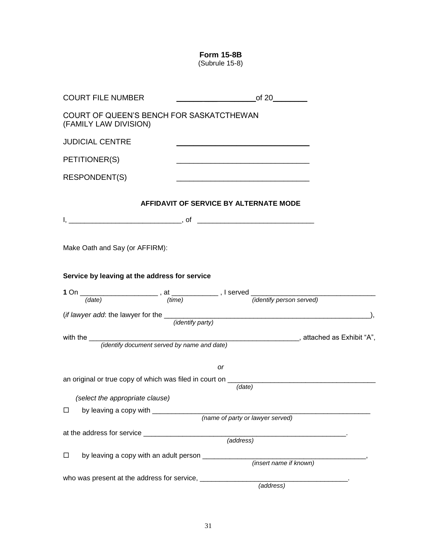**Form 15-8B** (Subrule 15-8)

| <b>COURT FILE NUMBER</b>                                          | of 20                                                                                                               |
|-------------------------------------------------------------------|---------------------------------------------------------------------------------------------------------------------|
| COURT OF QUEEN'S BENCH FOR SASKATCTHEWAN<br>(FAMILY LAW DIVISION) |                                                                                                                     |
| <b>JUDICIAL CENTRE</b>                                            |                                                                                                                     |
| PETITIONER(S)                                                     |                                                                                                                     |
| <b>RESPONDENT(S)</b>                                              | <u> 1980 - Johann Barbara, martxa alemaniar argumento este alemaniar alemaniar alemaniar alemaniar alemaniar al</u> |
|                                                                   | AFFIDAVIT OF SERVICE BY ALTERNATE MODE                                                                              |
|                                                                   |                                                                                                                     |
| Make Oath and Say (or AFFIRM):                                    |                                                                                                                     |
| Service by leaving at the address for service                     |                                                                                                                     |
|                                                                   |                                                                                                                     |
|                                                                   |                                                                                                                     |
|                                                                   | ( <i>if lawyer add:</i> the lawyer for the $\frac{1}{(identity\ part y)}$                                           |
|                                                                   |                                                                                                                     |
| with the $\frac{1}{2}$                                            | (identify document served by name and date) (identify document served by name and date)                             |
|                                                                   |                                                                                                                     |
|                                                                   | <b>or</b>                                                                                                           |
|                                                                   | an original or true copy of which was filed in court on _________________________                                   |
|                                                                   | (date)                                                                                                              |
| (select the appropriate clause)                                   |                                                                                                                     |
| by leaving a copy with _____________<br>□                         | (name of party or lawyer served)                                                                                    |
|                                                                   |                                                                                                                     |
|                                                                   | (address)                                                                                                           |
|                                                                   |                                                                                                                     |
| by leaving a copy with an adult person _____________<br>$\Box$    | (insert name if known)                                                                                              |
|                                                                   |                                                                                                                     |
|                                                                   | $\overline{(address)}$                                                                                              |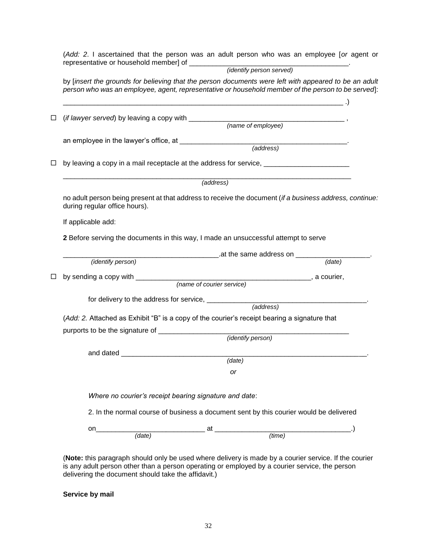(*Add: 2*. I ascertained that the person was an adult person who was an employee [*or* agent or representative or household member] of \_\_\_\_\_\_\_\_\_\_\_\_\_\_\_\_\_\_\_\_\_\_\_\_\_\_\_\_\_\_\_\_\_\_\_\_\_\_\_\_\_. *(identify person served)* by [*insert the grounds for believing that the person documents were left with appeared to be an adult person who was an employee, agent, representative or household member of the person to be served*]:  $\Box$  (*if lawyer served*) by leaving a copy with \_\_\_\_\_\_\_\_\_\_\_\_\_\_\_\_\_\_\_\_\_\_\_\_\_\_\_\_\_\_\_\_\_\_\_\_\_\_\_\_ , *(name of employee)* an employee in the lawyer's office, at \_\_\_\_\_\_\_\_\_\_\_\_\_\_\_\_\_\_\_\_\_\_\_\_\_\_\_\_\_\_\_\_\_\_\_\_\_\_\_\_\_\_\_. *(address)* by leaving a copy in a mail receptacle at the address for service, \_\_\_\_\_\_\_\_\_\_\_\_\_\_\_\_\_\_\_\_\_\_ \_\_\_\_\_\_\_\_\_\_\_\_\_\_\_\_\_\_\_\_\_\_\_\_\_\_\_\_\_\_\_\_\_\_\_\_\_\_\_\_\_\_\_\_\_\_\_\_\_\_\_\_\_\_\_\_\_\_\_\_\_\_\_\_\_\_\_\_\_\_\_\_\_\_ *(address)* no adult person being present at that address to receive the document (*if a business address, continue:*  during regular office hours). If applicable add: **2** Before serving the documents in this way, I made an unsuccessful attempt to serve \_\_\_\_\_\_\_\_\_\_\_\_\_\_\_\_\_\_\_\_\_\_\_\_\_\_\_\_\_\_\_\_\_\_\_\_\_\_\_\_.at the same address on \_\_\_\_\_\_\_\_\_\_\_\_\_\_\_\_\_\_\_.  *(identify person) (date)* by sending a copy with \_\_\_\_\_\_\_\_\_\_\_\_\_\_\_\_\_\_\_\_\_\_\_\_\_\_\_\_\_\_\_\_\_\_\_\_\_\_\_\_\_\_\_\_\_, a courier, *(name of courier service)* for delivery to the address for service, \_\_\_\_\_\_\_\_\_\_\_\_\_\_\_\_\_\_\_\_\_\_\_\_\_\_\_\_\_\_\_\_\_\_\_\_\_\_\_\_\_. *(address)* (*Add: 2.* Attached as Exhibit "B" is a copy of the courier's receipt bearing a signature that purports to be the signature of \_\_\_\_\_\_\_\_\_\_\_\_\_\_\_\_\_\_\_\_\_\_\_\_\_\_\_\_\_\_\_\_\_\_\_\_\_\_\_\_\_\_\_\_\_\_\_\_\_ *(identify person)* and dated  $\Box$ *(date) or Where no courier's receipt bearing signature and date*: 2. In the normal course of business a document sent by this courier would be delivered on\_\_\_\_\_\_\_\_\_\_\_\_\_\_\_\_\_\_\_\_\_\_\_\_\_\_\_\_ at \_\_\_\_\_\_\_\_\_\_\_\_\_\_\_\_\_\_\_\_\_\_\_\_\_\_\_\_\_\_\_\_\_\_\_.)  *(date) (time)*

(**Note:** this paragraph should only be used where delivery is made by a courier service. If the courier is any adult person other than a person operating or employed by a courier service, the person delivering the document should take the affidavit.)

**Service by mail**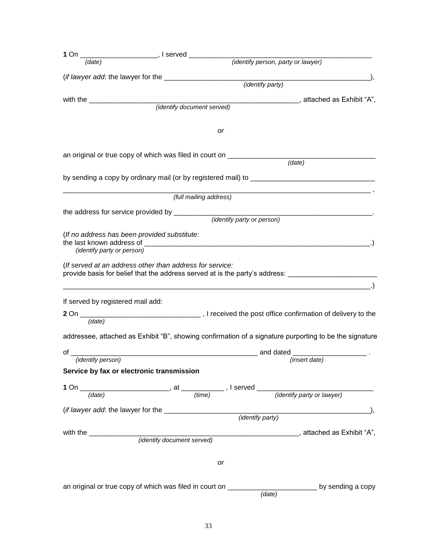| (identify person, party or lawyer)                                                                                                                                                                                             |
|--------------------------------------------------------------------------------------------------------------------------------------------------------------------------------------------------------------------------------|
|                                                                                                                                                                                                                                |
| (identify party)                                                                                                                                                                                                               |
| $\blacksquare$ , attached as Exhibit "A",                                                                                                                                                                                      |
| (identify document served)                                                                                                                                                                                                     |
|                                                                                                                                                                                                                                |
| or                                                                                                                                                                                                                             |
| an original or true copy of which was filed in court on _______________                                                                                                                                                        |
| (date)                                                                                                                                                                                                                         |
|                                                                                                                                                                                                                                |
| (full mailing address)                                                                                                                                                                                                         |
| the address for service provided by _________<br><i>(identify party or person)</i>                                                                                                                                             |
| (If no address has been provided substitute:                                                                                                                                                                                   |
| the last known address of the state of the state of the state of the state of the state of the state of the state of the state of the state of the state of the state of the state of the state of the state of the state of t |
| (If served at an address other than address for service:<br>provide basis for belief that the address served at is the party's address:                                                                                        |
| If served by registered mail add:                                                                                                                                                                                              |
|                                                                                                                                                                                                                                |
| addressee, attached as Exhibit "B", showing confirmation of a signature purporting to be the signature                                                                                                                         |
| and dated                                                                                                                                                                                                                      |
| (insert date)                                                                                                                                                                                                                  |
| Service by fax or electronic transmission                                                                                                                                                                                      |
|                                                                                                                                                                                                                                |
|                                                                                                                                                                                                                                |
|                                                                                                                                                                                                                                |
|                                                                                                                                                                                                                                |
|                                                                                                                                                                                                                                |
|                                                                                                                                                                                                                                |
| or                                                                                                                                                                                                                             |
| an original or true copy of which was filed in court on _________________________________by sending a copy<br>$\overline{(date)}$                                                                                              |
| with the $\sqrt{2}$                                                                                                                                                                                                            |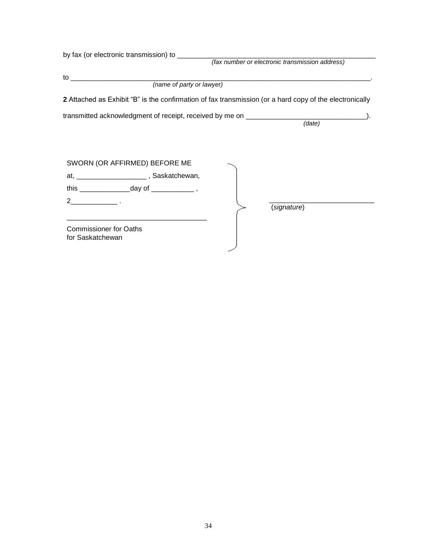| (fax number or electronic transmission address) |                                                                                                                                                                                                        |
|-------------------------------------------------|--------------------------------------------------------------------------------------------------------------------------------------------------------------------------------------------------------|
|                                                 |                                                                                                                                                                                                        |
|                                                 |                                                                                                                                                                                                        |
|                                                 |                                                                                                                                                                                                        |
|                                                 |                                                                                                                                                                                                        |
|                                                 |                                                                                                                                                                                                        |
|                                                 |                                                                                                                                                                                                        |
|                                                 |                                                                                                                                                                                                        |
| (signature)                                     |                                                                                                                                                                                                        |
|                                                 | 2 Attached as Exhibit "B" is the confirmation of fax transmission (or a hard copy of the electronically<br>transmitted acknowledgment of receipt, received by me on ________________________<br>(data) |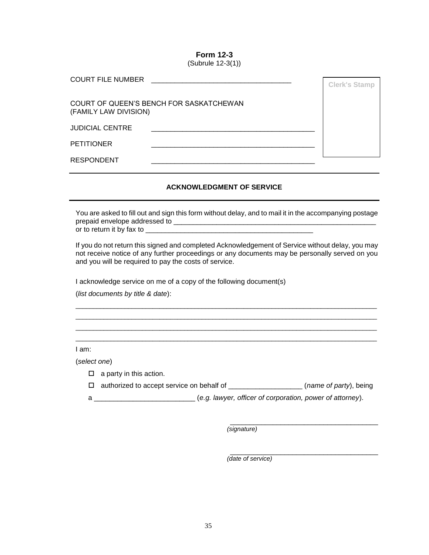**Form 12-3** (Subrule 12-3(1))

| <b>COURT FILE NUMBER</b> |                                         | <b>Clerk's Stamp</b> |
|--------------------------|-----------------------------------------|----------------------|
| (FAMILY LAW DIVISION)    | COURT OF QUEEN'S BENCH FOR SASKATCHEWAN |                      |
| <b>JUDICIAL CENTRE</b>   |                                         |                      |
| <b>PETITIONER</b>        |                                         |                      |
| <b>RESPONDENT</b>        |                                         |                      |

#### **ACKNOWLEDGMENT OF SERVICE**

You are asked to fill out and sign this form without delay, and to mail it in the accompanying postage prepaid envelope addressed to \_\_\_\_\_\_\_\_\_\_\_\_\_\_\_\_\_\_\_\_\_\_\_\_\_\_\_\_\_\_\_\_\_\_\_\_\_\_\_\_\_\_\_\_\_\_\_\_\_\_\_\_ or to return it by fax to \_\_\_\_\_\_\_\_\_\_\_\_\_\_\_\_\_\_\_\_\_\_\_\_\_\_\_\_\_\_\_\_\_\_\_\_\_\_\_\_\_\_\_

If you do not return this signed and completed Acknowledgement of Service without delay, you may not receive notice of any further proceedings or any documents may be personally served on you and you will be required to pay the costs of service.

 $\_$  ,  $\_$  ,  $\_$  ,  $\_$  ,  $\_$  ,  $\_$  ,  $\_$  ,  $\_$  ,  $\_$  ,  $\_$  ,  $\_$  ,  $\_$  ,  $\_$  ,  $\_$  ,  $\_$  ,  $\_$  ,  $\_$  ,  $\_$  ,  $\_$  ,  $\_$  ,  $\_$  ,  $\_$  ,  $\_$  ,  $\_$  ,  $\_$  ,  $\_$  ,  $\_$  ,  $\_$  ,  $\_$  ,  $\_$  ,  $\_$  ,  $\_$  ,  $\_$  ,  $\_$  ,  $\_$  ,  $\_$  ,  $\_$  , \_\_\_\_\_\_\_\_\_\_\_\_\_\_\_\_\_\_\_\_\_\_\_\_\_\_\_\_\_\_\_\_\_\_\_\_\_\_\_\_\_\_\_\_\_\_\_\_\_\_\_\_\_\_\_\_\_\_\_\_\_\_\_\_\_\_\_\_\_\_\_\_\_\_\_\_\_\_\_\_\_\_\_\_\_\_  $\_$  ,  $\_$  ,  $\_$  ,  $\_$  ,  $\_$  ,  $\_$  ,  $\_$  ,  $\_$  ,  $\_$  ,  $\_$  ,  $\_$  ,  $\_$  ,  $\_$  ,  $\_$  ,  $\_$  ,  $\_$  ,  $\_$  ,  $\_$  ,  $\_$  ,  $\_$  ,  $\_$  ,  $\_$  ,  $\_$  ,  $\_$  ,  $\_$  ,  $\_$  ,  $\_$  ,  $\_$  ,  $\_$  ,  $\_$  ,  $\_$  ,  $\_$  ,  $\_$  ,  $\_$  ,  $\_$  ,  $\_$  ,  $\_$  ,  $\_$  ,  $\_$  ,  $\_$  ,  $\_$  ,  $\_$  ,  $\_$  ,  $\_$  ,  $\_$  ,  $\_$  ,  $\_$  ,  $\_$  ,  $\_$  ,  $\_$  ,  $\_$  ,  $\_$  ,  $\_$  ,  $\_$  ,  $\_$  ,  $\_$  ,  $\_$  ,  $\_$  ,  $\_$  ,  $\_$  ,  $\_$  ,  $\_$  ,  $\_$  ,  $\_$  ,  $\_$  ,  $\_$  ,  $\_$  ,  $\_$  ,  $\_$  ,  $\_$  ,  $\_$  ,  $\_$  ,  $\_$  ,  $\_$  ,

I acknowledge service on me of a copy of the following document(s)

(*list documents by title & date*):

I am:

(*select one*)

- $\Box$  a party in this action.
- authorized to accept service on behalf of \_\_\_\_\_\_\_\_\_\_\_\_\_\_\_\_\_\_\_ (*name of party*), being
- a \_\_\_\_\_\_\_\_\_\_\_\_\_\_\_\_\_\_\_\_\_\_\_\_\_\_ (*e.g. lawyer, officer of corporation, power of attorney*).

*(signature)*

\_\_\_\_\_\_\_\_\_\_\_\_\_\_\_\_\_\_\_\_\_\_\_\_\_\_\_\_\_\_\_\_\_\_\_\_\_\_ *(date of service)*

\_\_\_\_\_\_\_\_\_\_\_\_\_\_\_\_\_\_\_\_\_\_\_\_\_\_\_\_\_\_\_\_\_\_\_\_\_\_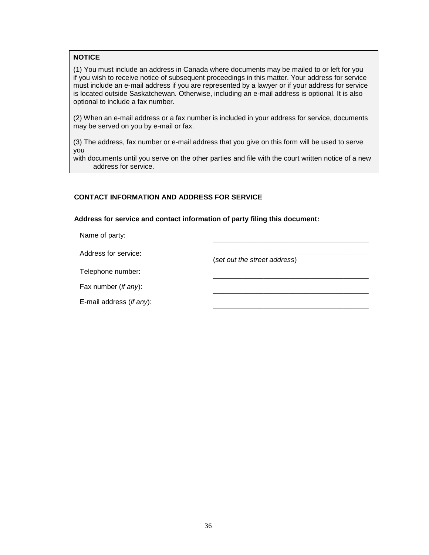#### **NOTICE**

(1) You must include an address in Canada where documents may be mailed to or left for you if you wish to receive notice of subsequent proceedings in this matter. Your address for service must include an e-mail address if you are represented by a lawyer or if your address for service is located outside Saskatchewan. Otherwise, including an e-mail address is optional. It is also optional to include a fax number.

(2) When an e-mail address or a fax number is included in your address for service, documents may be served on you by e-mail or fax.

(3) The address, fax number or e-mail address that you give on this form will be used to serve you

with documents until you serve on the other parties and file with the court written notice of a new address for service.

#### **CONTACT INFORMATION AND ADDRESS FOR SERVICE**

**Address for service and contact information of party filing this document:**

Name of party:

Address for service:

(*set out the street address*)

Telephone number:

Fax number (*if any*):

E-mail address (*if any*):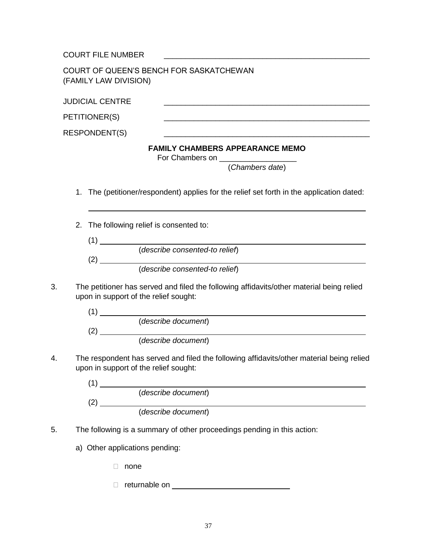COURT FILE NUMBER \_\_\_\_\_\_\_\_\_\_\_\_\_\_\_\_\_\_\_\_\_\_\_\_\_\_\_\_\_\_\_\_\_\_\_\_\_\_\_\_\_\_\_\_\_\_\_\_

| COURT OF QUEEN'S BENCH FOR SASKATCHEWAN |  |
|-----------------------------------------|--|
| (FAMILY LAW DIVISION)                   |  |

|    | <b>JUDICIAL CENTRE</b>                                                                                                                         |
|----|------------------------------------------------------------------------------------------------------------------------------------------------|
|    | PETITIONER(S)<br><u> 1989 - Johann Stoff, deutscher Stoff, der Stoff, der Stoff, der Stoff, der Stoff, der Stoff, der Stoff, der S</u>         |
|    | <b>RESPONDENT(S)</b><br><u> 1980 - Johann Barn, mars ann an t-Amhain ann an t-Amhain an t-Amhain an t-Amhain an t-Amhain an t-Amhain an t-</u> |
|    | <b>FAMILY CHAMBERS APPEARANCE MEMO</b><br>For Chambers on ___________________<br>(Chambers date)                                               |
|    | The (petitioner/respondent) applies for the relief set forth in the application dated:<br>1.                                                   |
|    | 2.<br>The following relief is consented to:<br>$(1)$ $\qquad \qquad$                                                                           |
|    | (describe consented-to relief)                                                                                                                 |
|    | (describe consented-to relief)                                                                                                                 |
| 3. | The petitioner has served and filed the following affidavits/other material being relied<br>upon in support of the relief sought:              |
|    | $(1)$ $\overline{\phantom{a}}$                                                                                                                 |
|    | (describe document)                                                                                                                            |
|    | (2) (describe document)                                                                                                                        |
| 4. | The respondent has served and filed the following affidavits/other material being relied<br>upon in support of the relief sought:              |
|    | $\sqrt{4}$                                                                                                                                     |

| (describe document) |  |
|---------------------|--|
|                     |  |
| (describe document) |  |

- 5. The following is a summary of other proceedings pending in this action:
	- a) Other applications pending:
		- none
		- returnable on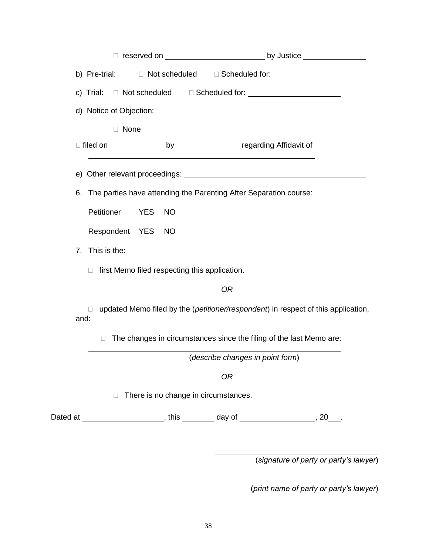|      | b) Pre-trial: D Not scheduled |        |            |           |                                                                                  |  | □ Scheduled for: ___________________________                                      |  |
|------|-------------------------------|--------|------------|-----------|----------------------------------------------------------------------------------|--|-----------------------------------------------------------------------------------|--|
|      |                               |        |            |           |                                                                                  |  |                                                                                   |  |
|      | d) Notice of Objection:       |        |            |           |                                                                                  |  |                                                                                   |  |
|      |                               | □ None |            |           |                                                                                  |  |                                                                                   |  |
|      |                               |        |            |           |                                                                                  |  |                                                                                   |  |
|      |                               |        |            |           |                                                                                  |  |                                                                                   |  |
|      |                               |        |            |           | 6. The parties have attending the Parenting After Separation course:             |  |                                                                                   |  |
|      | Petitioner                    |        | <b>YES</b> | <b>NO</b> |                                                                                  |  |                                                                                   |  |
|      | Respondent YES                |        |            | <b>NO</b> |                                                                                  |  |                                                                                   |  |
| 7.   | This is the:                  |        |            |           |                                                                                  |  |                                                                                   |  |
|      |                               |        |            |           | $\Box$ first Memo filed respecting this application.                             |  |                                                                                   |  |
|      |                               |        |            |           | 0R                                                                               |  |                                                                                   |  |
| and: | Ш                             |        |            |           |                                                                                  |  | updated Memo filed by the (petitioner/respondent) in respect of this application, |  |
|      | П                             |        |            |           | The changes in circumstances since the filing of the last Memo are:              |  |                                                                                   |  |
|      |                               |        |            |           | (describe changes in point form)                                                 |  |                                                                                   |  |
|      |                               |        |            |           | 0R                                                                               |  |                                                                                   |  |
|      |                               |        |            |           | There is no change in circumstances.                                             |  |                                                                                   |  |
|      |                               |        |            |           | Dated at ________________________, this _________ day of _______________________ |  | $, 20$ ____.                                                                      |  |

(*signature of party or party's lawyer*)

(*print name of party or party's lawyer*)